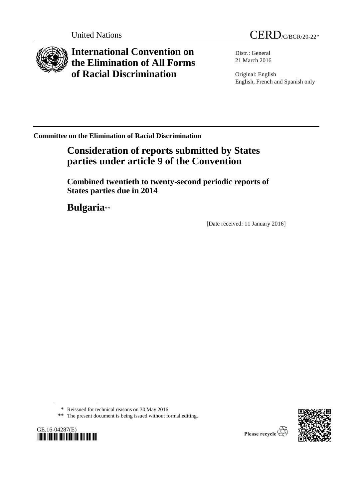

**International Convention on the Elimination of All Forms of Racial Discrimination**

United Nations CERD/C/BGR/20-22\*

Distr.: General 21 March 2016

Original: English English, French and Spanish only

**Committee on the Elimination of Racial Discrimination**

# **Consideration of reports submitted by States parties under article 9 of the Convention**

**Combined twentieth to twenty-second periodic reports of States parties due in 2014**

**Bulgaria**\*\*

[Date received: 11 January 2016]

\*\* The present document is being issued without formal editing.





<sup>\*</sup> Reissued for technical reasons on 30 May 2016.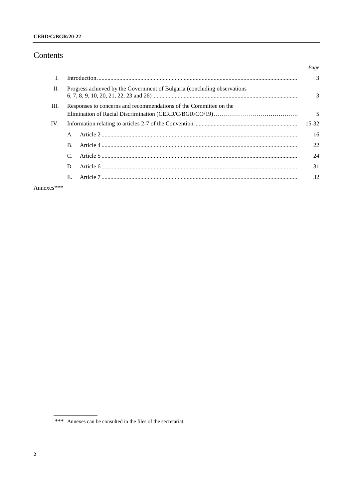## **CERD/C/BGR/20-22**

## Contents

|      |                                                                   |                                                                           | Page |  |
|------|-------------------------------------------------------------------|---------------------------------------------------------------------------|------|--|
| L    |                                                                   |                                                                           | 3    |  |
| H.   |                                                                   | Progress achieved by the Government of Bulgaria (concluding observations) | 3    |  |
| III. | Responses to concerns and recommendations of the Committee on the |                                                                           |      |  |
| IV.  |                                                                   |                                                                           |      |  |
|      | $A_{-}$                                                           |                                                                           | 16   |  |
|      | $\mathbf{B}$ .                                                    |                                                                           | 22   |  |
|      |                                                                   |                                                                           | 24   |  |
|      | D.                                                                |                                                                           | 31   |  |
|      | Е.                                                                |                                                                           | 32   |  |
|      |                                                                   |                                                                           |      |  |

Annexes\*\*\*

<sup>\*\*\*</sup> Annexes can be consulted in the files of the secretariat.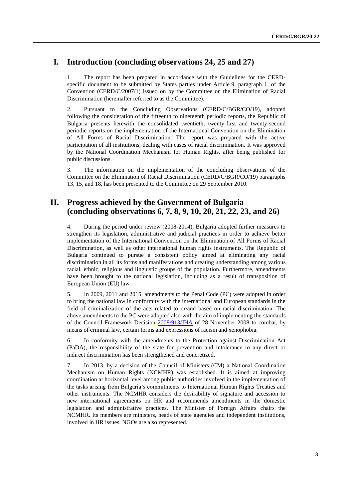## **I. Introduction (concluding observations 24, 25 and 27)**

1. The report has been prepared in accordance with the Guidelines for the CERDspecific document to be submitted by States parties under Article 9, paragraph 1, of the Convention (CERD/C/2007/1) issued on by the Committee on the Elimination of Racial Discrimination (hereinafter referred to as the Committee).

2. Pursuant to the Concluding Observations (CERD/C/BGR/CO/19), adopted following the consideration of the fifteenth to nineteenth periodic reports, the Republic of Bulgaria presents herewith the consolidated twentieth, twenty-first and twenty-second periodic reports on the implementation of the International Convention on the Elimination of All Forms of Racial Discrimination. The report was prepared with the active participation of all institutions, dealing with cases of racial discrimination. It was approved by the National Coordination Mechanism for Human Rights, after being published for public discussions.

3. The information on the implementation of the concluding observations of the Committee on the Elimination of Racial Discrimination (CERD/C/BGR/CO/19) paragraphs 13, 15, and 18, has been presented to the Committee on 29 September 2010.

## **II. Progress achieved by the Government of Bulgaria (concluding observations 6, 7, 8, 9, 10, 20, 21, 22, 23, and 26)**

4. During the period under review (2008-2014), Bulgaria adopted further measures to strengthen its legislation, administrative and judicial practices in order to achieve better implementation of the International Convention on the Elimination of All Forms of Racial Discrimination, as well as other international human rights instruments. The Republic of Bulgaria continued to pursue a consistent policy aimed at eliminating any racial discrimination in all its forms and manifestations and creating understanding among various racial, ethnic, religious and linguistic groups of the population. Furthermore, amendments have been brought to the national legislation, including as a result of transposition of European Union (EU) law.

5. In 2009, 2011 and 2015, amendments to the Penal Code (PC) were adopted in order to bring the national law in conformity with the international and European standards in the field of criminalization of the acts related to or/and based on racial discrimination. The above amendments to the PC were adopted also with the aim of implementing the standards of the Council Framework Decision [2008/913/JHA](http://eur-lex.europa.eu/LexUriServ/LexUriServ.do?uri=CELEX:32008F0913:EN:NOT) of 28 November 2008 to combat, by means of criminal law, certain forms and expressions of racism and xenophobia.

6. In conformity with the amendments to the Protection against Discrimination Act (PaDA), the responsibility of the state for prevention and intolerance to any direct or indirect discrimination has been strengthened and concretized.

7. In 2013, by a decision of the Council of Ministers (CM) a National Coordination Mechanism on Human Rights (NCMHR) was established. It is aimed at improving coordination at horizontal level among public authorities involved in the implementation of the tasks arising from Bulgaria's commitments to International Human Rights Treaties and other instruments. The NCMHR considers the desirability of signature and accession to new international agreements on HR and recommends amendments in the domestic legislation and administrative practices. The Minister of Foreign Affairs chairs the NCMHR. Its members are ministers, heads of state agencies and independent institutions, involved in HR issues. NGOs are also represented.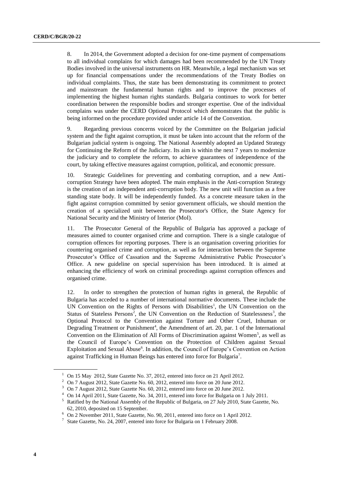8. In 2014, the Government adopted a decision for one-time payment of compensations to all individual complains for which damages had been recommended by the UN Treaty Bodies involved in the universal instruments on HR. Meanwhile, a legal mechanism was set up for financial compensations under the recommendations of the Treaty Bodies on individual complaints. Thus, the state has been demonstrating its commitment to protect and mainstream the fundamental human rights and to improve the processes of implementing the highest human rights standards. Bulgaria continues to work for better coordination between the responsible bodies and stronger expertise. One of the individual complains was under the CERD Optional Protocol which demonstrates that the public is being informed on the procedure provided under article 14 of the Convention.

9. Regarding previous concerns voiced by the Committee on the Bulgarian judicial system and the fight against corruption, it must be taken into account that the reform of the Bulgarian judicial system is ongoing. The National Assembly adopted an Updated Strategy for Continuing the Reform of the Judiciary. Its aim is within the next 7 years to modernize the judiciary and to complete the reform, to achieve guarantees of independence of the court, by taking effective measures against corruption, political, and economic pressure.

10. Strategic Guidelines for preventing and combating corruption, and a new Anticorruption Strategy have been adopted. The main emphasis in the Anti-corruption Strategy is the creation of an independent anti-corruption body. The new unit will function as a free standing state body. It will be independently funded. As a concrete measure taken in the fight against corruption committed by senior government officials, we should mention the creation of a specialized unit between the Prosecutor's Office, the State Agency for National Security and the Ministry of Interior (MoI).

11. The Prosecutor General of the Republic of Bulgaria has approved a package of measures aimed to counter organised crime and corruption. There is a single catalogue of corruption offences for reporting purposes. There is an organisation covering priorities for countering organised crime and corruption, as well as for interaction between the Supreme Prosecutor's Office of Cassation and the Supreme Administrative Public Prosecutor's Office. A new guideline on special supervision has been introduced. It is aimed at enhancing the efficiency of work on criminal proceedings against corruption offences and organised crime.

12. In order to strengthen the protection of human rights in general, the Republic of Bulgaria has acceded to a number of international normative documents. These include the UN Convention on the Rights of Persons with Disabilities<sup>1</sup>, the UN Convention on the Status of Stateless Persons<sup>2</sup>, the UN Convention on the Reduction of Statelessness<sup>3</sup>, the Optional Protocol to the Convention against Torture and Other Cruel, Inhuman or Degrading Treatment or Punishment<sup>4</sup>, the Amendment of art. 20, par. 1 of the International Convention on the Elimination of All Forms of Discrimination against Women<sup>5</sup>, as well as the Council of Europe's Convention on the Protection of Children against Sexual Exploitation and Sexual Abuse<sup>6</sup>. In addition, the Council of Europe's Convention on Action against Trafficking in Human Beings has entered into force for Bulgaria<sup>7</sup>.

 $1$  On 15 May 2012, State Gazette No. 37, 2012, entered into force on 21 April 2012.

<sup>&</sup>lt;sup>2</sup> On 7 August 2012, State Gazette No. 60, 2012, entered into force on 20 June 2012.

<sup>&</sup>lt;sup>3</sup> On 7 August 2012, State Gazette No. 60, 2012, entered into force on 20 June 2012.

<sup>4</sup> On 14 April 2011, State Gazette, No. 34, 2011, entered into force for Bulgaria on 1 July 2011.

<sup>5</sup> Ratified by the National Assembly of the Republic of Bulgaria, on 27 July 2010, State Gazette, No. 62, 2010, deposited on 15 September.

<sup>6</sup> On 2 November 2011, State Gazette, No. 90, 2011, entered into force on 1 April 2012.

<sup>&</sup>lt;sup>7</sup> State Gazette, No. 24, 2007, entered into force for Bulgaria on 1 February 2008.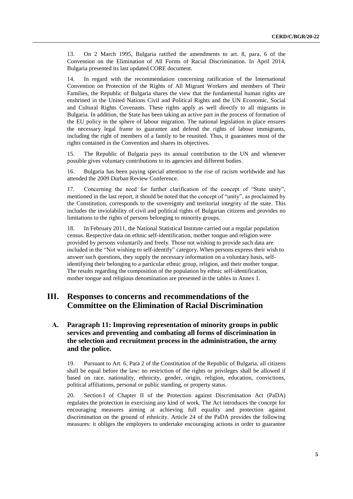13. On 2 March 1995, Bulgaria ratified the amendments to art. 8, para. 6 of the Convention on the Elimination of All Forms of Racial Discrimination. In April 2014, Bulgaria presented its last updated CORE document.

14. In regard with the recommendation concerning ratification of the International Convention on Protection of the Rights of All Migrant Workers and members of Their Families, the Republic of Bulgaria shares the view that the fundamental human rights are enshrined in the United Nations Civil and Political Rights and the UN Economic, Social and Cultural Rights Covenants. These rights apply as well directly to all migrants in Bulgaria. In addition, the State has been taking an active part in the process of formation of the EU policy in the sphere of labour migration. The national legislation in place ensures the necessary legal frame to guarantee and defend the rights of labour immigrants, including the right of members of a family to be reunited. Thus, it guarantees most of the rights contained in the Convention and shares its objectives.

15. The Republic of Bulgaria pays its annual contribution to the UN and whenever possible gives voluntary contributions to its agencies and different bodies.

16. Bulgaria has been paying special attention to the rise of racism worldwide and has attended the 2009 Durban Review Conference.

17. Concerning the need for further clarification of the concept of "State unity", mentioned in the last report, it should be noted that the concept of "unity", as proclaimed by the Constitution, corresponds to the sovereignty and territorial integrity of the state. This includes the inviolability of civil and political rights of Bulgarian citizens and provides no limitations to the rights of persons belonging to minority groups.

18. In February 2011, the National Statistical Institute carried out a regular population census. Respective data on ethnic self-identification, mother tongue and religion were provided by persons voluntarily and freely. Those not wishing to provide such data are included in the "Not wishing to self-identify" category. When persons express their wish to answer such questions, they supply the necessary information on a voluntary basis, selfidentifying their belonging to a particular ethnic group, religion, and their mother tongue. The results regarding the composition of the population by ethnic self-identification, mother tongue and religious denomination are presented in the tables in Annex 1.

## **ІIІ. Responses to concerns and recommendations of the Committee on the Elimination of Racial Discrimination**

## **А. Paragraph 11: Improving representation of minority groups in public services and preventing and combating all forms of discrimination in the selection and recruitment process in the administration, the army and the police.**

19. Pursuant to Art. 6, Para 2 of the Constitution of the Republic of Bulgaria, all citizens shall be equal before the law: no restriction of the rights or privileges shall be allowed if based on race, nationality, ethnicity, gender, origin, religion, education, convictions, political affiliations, personal or public standing, or property status.

20. Section I of Chapter II of the Protection against Discrimination Act (PaDA) regulates the protection in exercising any kind of work. The Act introduces the concept for encouraging measures aiming at achieving full equality and protection against discrimination on the ground of ethnicity. Article 24 of the PaDA provides the following measures: it obliges the employers to undertake encouraging actions in order to guarantee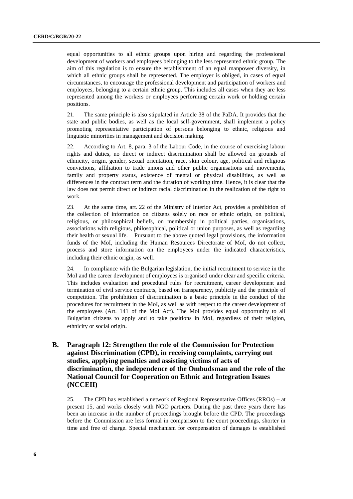equal opportunities to all ethnic groups upon hiring and regarding the professional development of workers and employees belonging to the less represented ethnic group. The aim of this regulation is to ensure the establishment of an equal manpower diversity, in which all ethnic groups shall be represented. The employer is obliged, in cases of equal circumstances, to encourage the professional development and participation of workers and employees, belonging to a certain ethnic group. This includes all cases when they are less represented among the workers or employees performing certain work or holding certain positions.

21. The same principle is also stipulated in Article 38 of the PaDA. It provides that the state and public bodies, as well as the local self-government, shall implement a policy promoting representative participation of persons belonging to ethnic, religious and linguistic minorities in management and decision making.

22. According to Art. 8, para. 3 of the Labour Code, in the course of exercising labour rights and duties, no direct or indirect discrimination shall be allowed on grounds of ethnicity, origin, gender, sexual orientation, race, skin colour, age, political and religious convictions, affiliation to trade unions and other public organisations and movements, family and property status, existence of mental or physical disabilities, as well as differences in the contract term and the duration of working time. Hence, it is clear that the law does not permit direct or indirect racial discrimination in the realization of the right to work.

23. At the same time, art. 22 of the Ministry of Interior Act, provides a prohibition of the collection of information on citizens solely on race or ethnic origin, on political, religious, or philosophical beliefs, on membership in political parties, organisations, associations with religious, philosophical, political or union purposes, as well as regarding their health or sexual life. Pursuant to the above quoted legal provisions, the information funds of the MoI, including the Human Resources Directorate of MoI, do not collect, process and store information on the employees under the indicated characteristics, including their ethnic origin, as well.

24. In compliance with the Bulgarian legislation, the initial recruitment to service in the MoI and the career development of employees is organised under clear and specific criteria. This includes evaluation and procedural rules for recruitment, career development and termination of civil service contracts, based on transparency, publicity and the principle of competition. The prohibition of discrimination is a basic principle in the conduct of the procedures for recruitment in the MoI, as well as with respect to the career development of the employees (Art. 141 of the MoI Act). The MoI provides equal opportunity to all Bulgarian citizens to apply and to take positions in MoI, regardless of their religion, ethnicity or social origin.

**B. Paragraph 12: Strengthen the role of the Commission for Protection against Discrimination (CPD), in receiving complaints, carrying out studies, applying penalties and assisting victims of acts of discrimination, the independence of the Ombudsman and the role of the National Council for Cooperation on Ethnic and Integration Issues (NCCEII)**

25. The CPD has established a network of Regional Representative Offices (RROs) – at present 15, and works closely with NGO partners. During the past three years there has been an increase in the number of proceedings brought before the CPD. The proceedings before the Commission are less formal in comparison to the court proceedings, shorter in time and free of charge. Special mechanism for compensation of damages is established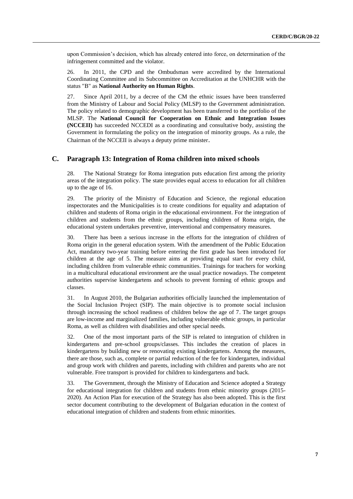upon Commission's decision, which has already entered into force, on determination of the infringement committed and the violator.

26. In 2011, the CPD and the Ombudsman were accredited by the International Coordinating Committee and its Subcommittee on Accreditation at the UNHCHR with the status "B" as **National Authority on Human Rights**.

27. Since April 2011, by a decree of the CM the ethnic issues have been transferred from the Ministry of Labour and Social Policy (MLSP) to the Government administration. The policy related to demographic development has been transferred to the portfolio of the MLSP. The **National Council for Cooperation on Ethnic and Integration Issues (NCCEII)** has succeeded NCCEDI as a coordinating and consultative body, assisting the Government in formulating the policy on the integration of minority groups. As a rule, the Chairman of the NCCEII is always a deputy prime minister.

## **C. Paragraph 13: Integration of Roma children into mixed schools**

28. The National Strategy for Roma integration puts education first among the priority areas of the integration policy. The state provides equal access to education for all children up to the age of 16.

29. The priority of the Ministry of Education and Science, the regional education inspectorates and the Municipalities is to create conditions for equality and adaptation of children and students of Roma origin in the educational environment. For the integration of children and students from the ethnic groups, including children of Roma origin, the educational system undertakes preventive, interventional and compensatory measures.

30. There has been a serious increase in the efforts for the integration of children of Roma origin in the general education system. With the amendment of the Public Education Act, mandatory two-year training before entering the first grade has been introduced for children at the age of 5. The measure aims at providing equal start for every child, including children from vulnerable ethnic communities. Trainings for teachers for working in a multicultural educational environment are the usual practice nowadays. The competent authorities supervise kindergartens and schools to prevent forming of ethnic groups and classes.

31. In August 2010, the Bulgarian authorities officially launched the implementation of the Social Inclusion Project (SIP). The main objective is to promote social inclusion through increasing the school readiness of children below the age of 7. The target groups are low-income and marginalized families, including vulnerable ethnic groups, in particular Roma, as well as children with disabilities and other special needs.

32. One of the most important parts of the SIP is related to integration of children in kindergartens and pre-school groups/classes. This includes the creation of places in kindergartens by building new or renovating existing kindergartens. Among the measures, there are those, such as, complete or partial reduction of the fee for kindergarten, individual and group work with children and parents, including with children and parents who are not vulnerable. Free transport is provided for children to kindergartens and back.

33. The Government, through the Ministry of Education and Science adopted a Strategy for educational integration for children and students from ethnic minority groups (2015- 2020). An Action Plan for execution of the Strategy has also been adopted. This is the first sector document contributing to the development of Bulgarian education in the context of educational integration of children and students from ethnic minorities.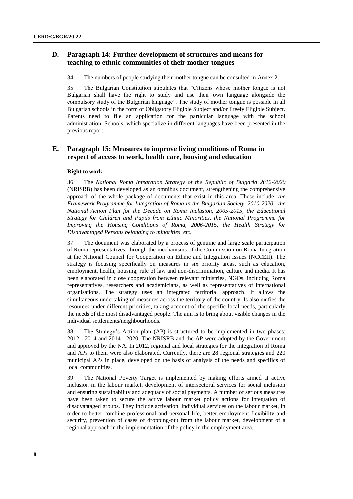## **D. Paragraph 14: Further development of structures and means for teaching to ethnic communities of their mother tongues**

34. The numbers of people studying their mother tongue can be consulted in Annex 2.

35. The Bulgarian Constitution stipulates that "Citizens whose mother tongue is not Bulgarian shall have the right to study and use their own language alongside the compulsory study of the Bulgarian language". The study of mother tongue is possible in all Bulgarian schools in the form of Obligatory Eligible Subject and/or Freely Eligible Subject. Parents need to file an application for the particular language with the school administration. Schools, which specialize in different languages have been presented in the previous report.

## **E. Paragraph 15: Measures to improve living conditions of Roma in respect of access to work, health care, housing and education**

## **Right to work**

36. The *National Roma Integration Strategy of the Republic of Bulgaria 2012-2020*  (NRISRB) has been developed as an omnibus document, strengthening the comprehensive approach of the whole package of documents that exist in this area. These include: *the Framework Programme for Integration of Roma in the Bulgarian Society, 2010-2020, the National Action Plan for the Decade on Roma Inclusion, 2005-2015, the Educational Strategy for Children and Pupils from Ethnic Minorities, the National Programme for Improving the Housing Conditions of Roma, 2006-2015, the Health Strategy for Disadvantaged Persons belonging to minorities, etc.*

37. The document was elaborated by a process of genuine and large scale participation of Roma representatives, through the mechanisms of the Commission on Roma Integration at the National Council for Cooperation on Ethnic and Integration Issues (NCCEII). The strategy is focusing specifically on measures in six priority areas, such as education, employment, health, housing, rule of law and non-discrimination, culture and media. It has been elaborated in close cooperation between relevant ministries, NGOs, including Roma representatives, researchers and academicians, as well as representatives of international organisations. The strategy uses an integrated territorial approach. It allows the simultaneous undertaking of measures across the territory of the country. Is also unifies the resources under different priorities, taking account of the specific local needs, particularly the needs of the most disadvantaged people. The aim is to bring about visible changes in the individual settlements/neighbourhoods.

38. The Strategy's Action plan (AP) is structured to be implemented in two phases: 2012 - 2014 and 2014 - 2020. The NRISRB and the AP were adopted by the Government and approved by the NA. In 2012, regional and local strategies for the integration of Roma and APs to them were also elaborated. Currently, there are 28 regional strategies and 220 municipal APs in place, developed on the basis of analysis of the needs and specifics of local communities.

39. The National Poverty Target is implemented by making efforts aimed at active inclusion in the labour market, development of intersectoral services for social inclusion and ensuring sustainability and adequacy of social payments. A number of serious measures have been taken to secure the active labour market policy actions for integration of disadvantaged groups. They include activation, individual services on the labour market, in order to better combine professional and personal life, better employment flexibility and security, prevention of cases of dropping-out from the labour market, development of a regional approach in the implementation of the policy in the employment area.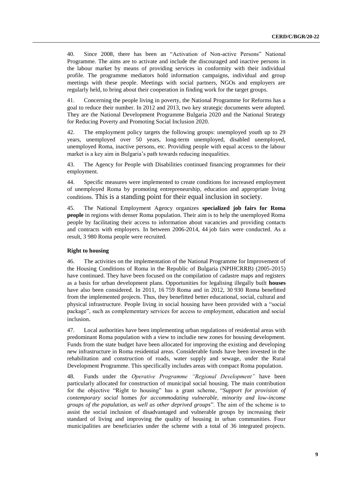40. Since 2008, there has been an "Activation of Non-active Persons" National Programme. The aims are to activate and include the discouraged and inactive persons in the labour market by means of providing services in conformity with their individual profile. The programme mediators hold information campaigns, individual and group meetings with these people. Meetings with social partners, NGOs and employers are regularly held, to bring about their cooperation in finding work for the target groups.

41. Concerning the people living in poverty, the National Programme for Reforms has a goal to reduce their number. In 2012 and 2013, two key strategic documents were adopted. They are the National Development Programme Bulgaria 2020 and the National Strategy for Reducing Poverty and Promoting Social Inclusion 2020.

42. The employment policy targets the following groups: unemployed youth up to 29 years, unemployed over 50 years, long-term unemployed, disabled unemployed, unemployed Roma, inactive persons, etc. Providing people with equal access to the labour market is a key aim in Bulgaria's path towards reducing inequalities.

43. The Agency for People with Disabilities continued financing programmes for their employment.

44. Specific measures were implemented to create conditions for increased employment of unemployed Roma by promoting entrepreneurship, education and appropriate living conditions. This is a standing point for their equal inclusion in society.

45. The National Employment Agency organizes **specialized job fairs for Roma people** in regions with denser Roma population. Their aim is to help the unemployed Roma people by facilitating their access to information about vacancies and providing contacts and contracts with employers. In between 2006-2014, 44 job fairs were conducted. As a result, 3 980 Roma people were recruited.

### **Right to housing**

46. The activities on the implementation of the National Programme for Improvement of the Housing Conditions of Roma in the Republic of Bulgaria (NPIHCRRB) (2005-2015) have continued. They have been focused on the compilation of cadastre maps and registers as a basis for urban development plans. Opportunities for legalising illegally built **houses** have also been considered. In 2011, 16 759 Roma and in 2012, 30 930 Roma benefitted from the implemented projects. Thus, they benefitted better educational, social, cultural and physical infrastructure. People living in social housing have been provided with a "social package", such as complementary services for access to employment, education and social inclusion.

47. Local authorities have been implementing urban regulations of residential areas with predominant Roma population with a view to includie new zones for housing development. Funds from the state budget have been allocated for improving the existing and developing new infrastructure in Roma residential areas. Considerable funds have been invested in the rehabilitation and construction of roads, water supply and sewage, under the Rural Development Programme. This specifically includes areas with compact Roma population.

48. Funds under the *Operative Programme "Regional Development"* have been particularly allocated for construction of municipal social housing. The main contribution for the objective "Right to housing" has a grant scheme, "*Support for provision of contemporary social* homes *for accommodating vulnerable, minority and low-income groups of the population, as well as other deprived groups*". The aim of the scheme is to assist the social inclusion of disadvantaged and vulnerable groups by increasing their standard of living and improving the quality of housing in urban communities. Four municipalities are beneficiaries under the scheme with a total of 36 integrated projects.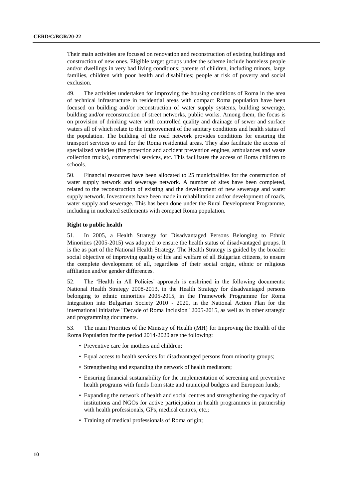Their main activities are focused on renovation and reconstruction of existing buildings and construction of new ones. Eligible target groups under the scheme include homeless people and/or dwellings in very bad living conditions; parents of children, including minors, large families, children with poor health and disabilities; people at risk of poverty and social exclusion.

49. The activities undertaken for improving the housing conditions of Roma in the area of technical infrastructure in residential areas with compact Roma population have been focused on building and/or reconstruction of water supply systems, building sewerage, building and/or reconstruction of street networks, public works. Among them, the focus is on provision of drinking water with controlled quality and drainage of sewer and surface waters all of which relate to the improvement of the sanitary conditions and health status of the population. The building of the road network provides conditions for ensuring the transport services to and for the Roma residential areas. They also facilitate the access of specialized vehicles (fire protection and accident prevention engines, ambulances and waste collection trucks), commercial services, etc. This facilitates the access of Roma children to schools.

50. Financial resources have been allocated to 25 municipalities for the construction of water supply network and sewerage network. A number of sites have been completed, related to the reconstruction of existing and the development of new sewerage and water supply network. Investments have been made in rehabilitation and/or development of roads, water supply and sewerage. This has been done under the Rural Development Programme, including in nucleated settlements with compact Roma population.

#### **Right to public health**

51. In 2005, a Health Strategy for Disadvantaged Persons Belonging to Ethnic Minorities (2005-2015) was adopted to ensure the health status of disadvantaged groups. It is the as part of the National Health Strategy. The Health Strategy is guided by the broader social objective of improving quality of life and welfare of all Bulgarian citizens, to ensure the complete development of all, regardless of their social origin, ethnic or religious affiliation and/or gender differences.

52. The 'Health in All Policies' approach is enshrined in the following documents: National Health Strategy 2008-2013, in the Health Strategy for disadvantaged persons belonging to ethnic minorities 2005-2015, in the Framework Programme for Roma Integration into Bulgarian Society 2010 - 2020, in the National Action Plan for the international initiative "Decade of Roma Inclusion" 2005-2015, as well as in other strategic and programming documents.

53. The main Priorities of the Ministry of Health (MH) for Improving the Health of the Roma Population for the period 2014-2020 are the following:

- Preventive care for mothers and children;
- Equal access to health services for disadvantaged persons from minority groups;
- Strengthening and expanding the network of health mediators;
- Ensuring financial sustainability for the implementation of screening and preventive health programs with funds from state and municipal budgets and European funds;
- Expanding the network of health and social centres and strengthening the capacity of institutions and NGOs for active participation in health programmes in partnership with health professionals, GPs, medical centres, etc.;
- Training of medical professionals of Roma origin;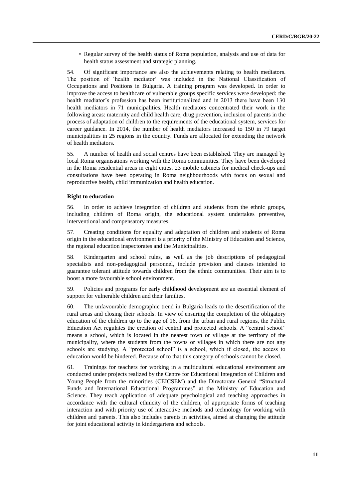• Regular survey of the health status of Roma population, analysis and use of data for health status assessment and strategic planning.

54. Of significant importance are also the achievements relating to health mediators. The position of 'health mediator' was included in the National Classification of Occupations and Positions in Bulgaria. A training program was developed. In order to improve the access to healthcare of vulnerable groups specific services were developed: the health mediator's profession has been institutionalized and in 2013 there have been 130 health mediators in 71 municipalities. Health mediators concentrated their work in the following areas: maternity and child health care, drug prevention, inclusion of parents in the process of adaptation of children to the requirements of the educational system, services for career guidance. In 2014, the number of health mediators increased to 150 in 79 target municipalities in 25 regions in the country. Funds are allocated for extending the network of health mediators.

55. A number of health and social centres have been established. They are managed by local Roma organisations working with the Roma communities. They have been developed in the Roma residential areas in eight cities. 23 mobile cabinets for medical check-ups and consultations have been operating in Roma neighbourhoods with focus on sexual and reproductive health, child immunization and health education.

#### **Right to education**

56. In order to achieve integration of children and students from the ethnic groups, including children of Roma origin, the educational system undertakes preventive, interventional and compensatory measures.

57. Creating conditions for equality and adaptation of children and students of Roma origin in the educational environment is a priority of the Ministry of Education and Science, the regional education inspectorates and the Municipalities.

58. Kindergarten and school rules, as well as the job descriptions of pedagogical specialists and non-pedagogical personnel, include provision and clauses intended to guarantee tolerant attitude towards children from the ethnic communities. Their aim is to boost a more favourable school environment.

59. Policies and programs for early childhood development are an essential element of support for vulnerable children and their families.

60. The unfavourable demographic trend in Bulgaria leads to the desertification of the rural areas and closing their schools. In view of ensuring the completion of the obligatory education of the children up to the age of 16, from the urban and rural regions, the Public Education Act regulates the creation of central and protected schools. A "central school" means a school, which is located in the nearest town or village at the territory of the municipality, where the students from the towns or villages in which there are not any schools are studying. A "protected school" is a school, which if closed, the access to education would be hindered. Because of to that this category of schools cannot be closed.

61. Trainings for teachers for working in a multicultural educational environment are conducted under projects realized by the Centre for Educational Integration of Children and Young People from the minorities (CEICSEM) and the Directorate General "Structural Funds and International Educational Programmes" at the Ministry of Education and Science. They teach application of adequate psychological and teaching approaches in accordance with the cultural ethnicity of the children, of appropriate forms of teaching interaction and with priority use of interactive methods and technology for working with children and parents. This also includes parents in activities, aimed at changing the attitude for joint educational activity in kindergartens and schools.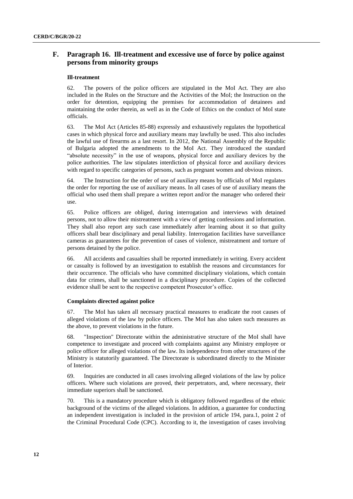## **F. Paragraph 16. Ill-treatment and excessive use of force by police against persons from minority groups**

### **Ill-treatment**

62. The powers of the police officers are stipulated in the MoI Act. They are also included in the Rules on the Structure and the Activities of the MoI; the Instruction on the order for detention, equipping the premises for accommodation of detainees and maintaining the order therein, as well as in the Code of Ethics on the conduct of MoI state officials.

63. The MoI Act (Articles 85-88) expressly and exhaustively regulates the hypothetical cases in which physical force and auxiliary means may lawfully be used. This also includes the lawful use of firearms as a last resort. In 2012, the National Assembly of the Republic of Bulgaria adopted the amendments to the MoI Act. They introduced the standard "absolute necessity" in the use of weapons, physical force and auxiliary devices by the police authorities. The law stipulates interdiction of physical force and auxiliary devices with regard to specific categories of persons, such as pregnant women and obvious minors.

64. The Instruction for the order of use of auxiliary means by officials of MoI regulates the order for reporting the use of auxiliary means. In all cases of use of auxiliary means the official who used them shall prepare a written report and/or the manager who ordered their use.

65. Police officers are obliged, during interrogation and interviews with detained persons, not to allow their mistreatment with a view of getting confessions and information. They shall also report any such case immediately after learning about it so that guilty officers shall bear disciplinary and penal liability. Interrogation facilities have surveillance cameras as guarantees for the prevention of cases of violence, mistreatment and torture of persons detained by the police.

66. All accidents and casualties shall be reported immediately in writing. Every accident or casualty is followed by an investigation to establish the reasons and circumstances for their occurrence. The officials who have committed disciplinary violations, which contain data for crimes, shall be sanctioned in a disciplinary procedure. Copies of the collected evidence shall be sent to the respective competent Prosecutor's office.

### **Complaints directed against police**

67. The MoI has taken all necessary practical measures to eradicate the root causes of alleged violations of the law by police officers. The MoI has also taken such measures as the above, to prevent violations in the future.

68. "Inspection" Directorate within the administrative structure of the MoI shall have competence to investigate and proceed with complaints against any Ministry employee or police officer for alleged violations of the law. Its independence from other structures of the Ministry is statutorily guaranteed. The Directorate is subordinated directly to the Minister of Interior.

69. Inquiries are conducted in all cases involving alleged violations of the law by police officers. Where such violations are proved, their perpetrators, and, where necessary, their immediate superiors shall be sanctioned.

70. This is a mandatory procedure which is obligatory followed regardless of the ethnic background of the victims of the alleged violations. In addition, a guarantee for conducting an independent investigation is included in the provision of article 194, para.1, point 2 of the Criminal Procedural Code (CPC). According to it, the investigation of cases involving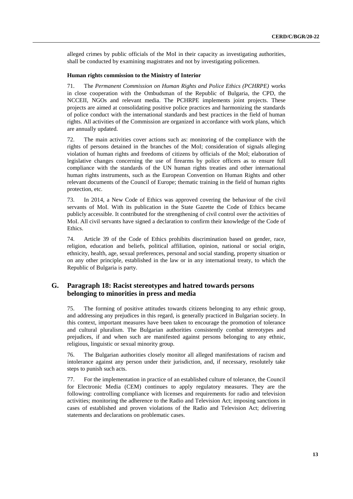alleged crimes by public officials of the MoI in their capacity as investigating authorities, shall be conducted by examining magistrates and not by investigating policemen.

#### **Human rights commission to the Ministry of Interior**

71. The *Permanent Commission on Human Rights and Police Ethics (PCHRPE)* works in close cooperation with the Ombudsman of the Republic of Bulgaria, the CPD, the NCCEII, NGOs and relevant media. The PCHRPE implements joint projects. These projects are aimed at consolidating positive police practices and harmonizing the standards of police conduct with the international standards and best practices in the field of human rights. All activities of the Commission are organized in accordance with work plans, which are annually updated.

72. The main activities cover actions such as: monitoring of the compliance with the rights of persons detained in the branches of the MoI; consideration of signals alleging violation of human rights and freedoms of citizens by officials of the MoI; elaboration of legislative changes concerning the use of firearms by police officers as to ensure full compliance with the standards of the UN human rights treaties and other international human rights instruments, such as the European Convention on Human Rights and other relevant documents of the Council of Europe; thematic training in the field of human rights protection, etc.

73. In 2014, a New Code of Ethics was approved covering the behaviour of the civil servants of MoI. With its publication in the State Gazette the Code of Ethics became publicly accessible. It contributed for the strengthening of civil control over the activities of MoI. All civil servants have signed a declaration to confirm their knowledge of the Code of Ethics.

74. Article 39 of the Code of Ethics prohibits discrimination based on gender, race, religion, education and beliefs, political affiliation, opinion, national or social origin, ethnicity, health, age, sexual preferences, personal and social standing, property situation or on any other principle, established in the law or in any international treaty, to which the Republic of Bulgaria is party.

## **G. Paragraph 18: Racist stereotypes and hatred towards persons belonging to minorities in press and media**

75. The forming of positive attitudes towards citizens belonging to any ethnic group, and addressing any prejudices in this regard, is generally practiced in Bulgarian society. In this context, important measures have been taken to encourage the promotion of tolerance and cultural pluralism. The Bulgarian authorities consistently combat stereotypes and prejudices, if and when such are manifested against persons belonging to any ethnic, religious, linguistic or sexual minority group.

76. The Bulgarian authorities closely monitor all alleged manifestations of racism and intolerance against any person under their jurisdiction, and, if necessary, resolutely take steps to punish such acts.

77. For the implementation in practice of an established culture of tolerance, the Council for Electronic Media (CEM) continues to apply regulatory measures. They are the following: controlling compliance with licenses and requirements for radio and television activities; monitoring the adherence to the Radio and Television Act; imposing sanctions in cases of established and proven violations of the Radio and Television Act; delivering statements and declarations on problematic cases.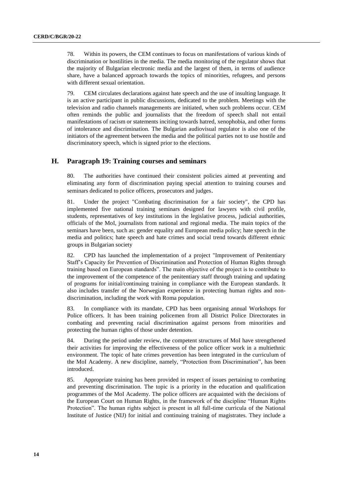78. Within its powers, the CEM continues to focus on manifestations of various kinds of discrimination or hostilities in the media. The media monitoring of the regulator shows that the majority of Bulgarian electronic media and the largest of them, in terms of audience share, have a balanced approach towards the topics of minorities, refugees, and persons with different sexual orientation.

79. CEM circulates declarations against hate speech and the use of insulting language. It is an active participant in public discussions, dedicated to the problem. Meetings with the television and radio channels managements are initiated, when such problems occur. CEM often reminds the public and journalists that the freedom of speech shall not entail manifestations of racism or statements inciting towards hatred, xenophobia, and other forms of intolerance and discrimination. The Bulgarian audiovisual regulator is also one of the initiators of the agreement between the media and the political parties not to use hostile and discriminatory speech, which is signed prior to the elections.

## **H. Paragraph 19: Training courses and seminars**

80. The authorities have continued their consistent policies aimed at preventing and eliminating any form of discrimination paying special attention to training courses and seminars dedicated to police officers, prosecutors and judges.

81. Under the project "Combating discrimination for a fair society", the CPD has implemented five national training seminars designed for lawyers with civil profile, students, representatives of key institutions in the legislative process, judicial authorities, officials of the MoI, journalists from national and regional media. The main topics of the seminars have been, such as: gender equality and European media policy; hate speech in the media and politics; hate speech and hate crimes and social trend towards different ethnic groups in Bulgarian society

82. CPD has launched the implementation of a project "Improvement of Penitentiary Staff's Capacity for Prevention of Discrimination and Protection of Human Rights through training based on European standards". The main objective of the project is to contribute to the improvement of the competence of the penitentiary staff through training and updating of programs for initial/continuing training in compliance with the European standards. It also includes transfer of the Norwegian experience in protecting human rights and nondiscrimination, including the work with Roma population.

83. In compliance with its mandate, CPD has been organising annual Workshops for Police officers. It has been training policemen from all District Police Directorates in combating and preventing racial discrimination against persons from minorities and protecting the human rights of those under detention.

84. During the period under review, the competent structures of MoI have strengthened their activities for improving the effectiveness of the police officer work in a multiethnic environment. The topic of hate crimes prevention has been integrated in the curriculum of the MoI Academy. A new discipline, namely, "Protection from Discrimination", has been introduced.

85. Appropriate training has been provided in respect of issues pertaining to combating and preventing discrimination. The topic is a priority in the education and qualification programmes of the MoI Academy. The police officers are acquainted with the decisions of the European Court on Human Rights, in the framework of the discipline "Human Rights Protection". The human rights subject is present in all full-time curricula of the National Institute of Justice (NIJ) for initial and continuing training of magistrates. They include a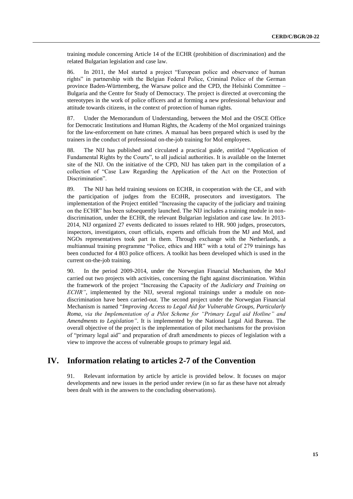training module concerning Article 14 of the ECHR (prohibition of discrimination) and the related Bulgarian legislation and case law.

86. In 2011, the MoI started a project "European police and observance of human rights" in partnership with the Belgian Federal Police, Criminal Police of the German province Baden-Württemberg, the Warsaw police and the CPD, the Helsinki Committee – Bulgaria and the Centre for Study of Democracy. The project is directed at overcoming the stereotypes in the work of police officers and at forming a new professional behaviour and attitude towards citizens, in the context of protection of human rights.

87. Under the Memorandum of Understanding, between the MoI and the OSCE Office for Democratic Institutions and Human Rights, the Academy of the MoI organized trainings for the law-enforcement on hate crimes. A manual has been prepared which is used by the trainers in the conduct of professional on-the-job training for MoI employees.

88. The NIJ has published and circulated a practical guide, entitled "Application of Fundamental Rights by the Courts", to all judicial authorities. It is available on the Internet site of the NIJ. On the initiative of the CPD, NIJ has taken part in the compilation of a collection of "Case Law Regarding the Application of the Act on the Protection of Discrimination".

89. The NIJ has held training sessions on ECHR, in cooperation with the CE, and with the participation of judges from the ECtHR, prosecutors and investigators. The implementation of the Project entitled "Increasing the capacity of the judiciary and training on the ECHR" has been subsequently launched. The NIJ includes a training module in nondiscrimination, under the ECHR, the relevant Bulgarian legislation and case law. In 2013- 2014, NIJ organized 27 events dedicated to issues related to HR. 900 judges, prosecutors, inspectors, investigators, court officials, experts and officials from the MJ and MoI, and NGOs representatives took part in them. Through exchange with the Netherlands, a multiannual training programme "Police, ethics and HR" with a total of 279 trainings has been conducted for 4 803 police officers. A toolkit has been developed which is used in the current on-the-job training.

90. In the period 2009-2014, under the Norwegian Financial Mechanism, the MoJ carried out two projects with activities, concerning the fight against discrimination. Within the framework of the project "Increasing the Capacity of *the Judiciary and Training on ECHR"*, implemented by the NIJ, several regional trainings under a module on nondiscrimination have been carried-out. The second project under the Norwegian Financial Mechanism is named "*Improving Access to Legal Aid for Vulnerable Groups, Particularly Roma, via the Implementation of a Pilot Scheme for "Primary Legal aid Hotline" and Amendments to Legislation"*. It is implemented by the National Legal Aid Bureau. The overall objective of the project is the implementation of pilot mechanisms for the provision of "primary legal aid" and preparation of draft amendments to pieces of legislation with a view to improve the access of vulnerable groups to primary legal aid.

## **IV. Information relating to articles 2-7 of the Convention**

91. Relevant information by article by article is provided below. It focuses on major developments and new issues in the period under review (in so far as these have not already been dealt with in the answers to the concluding observations).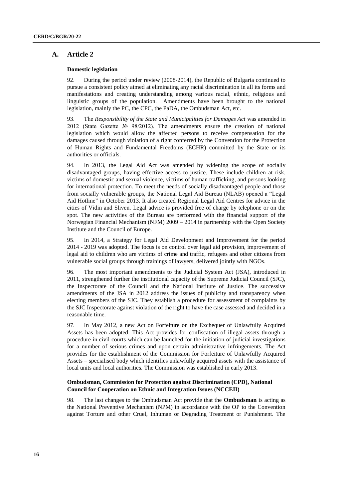## **A. Article 2**

#### **Domestic legislation**

92. During the period under review (2008-2014), the Republic of Bulgaria continued to pursue a consistent policy aimed at eliminating any racial discrimination in all its forms and manifestations and creating understanding among various racial, ethnic, religious and linguistic groups of the population. Amendments have been brought to the national legislation, mainly the PC, the CPC, the PaDA, the Ombudsman Act, etc.

93. The *Responsibility of the State and Municipalities for Damages Act* was amended in 2012 (State Gazette № 98/2012). The amendments ensure the creation of national legislation which would allow the affected persons to receive compensation for the damages caused through violation of a right conferred by the Convention for the Protection of Human Rights and Fundamental Freedoms (ECHR) committed by the State or its authorities or officials.

94. In 2013, the Legal Aid Act was amended by widening the scope of socially disadvantaged groups, having effective access to justice. These include children at risk, victims of domestic and sexual violence, victims of human trafficking, and persons looking for international protection. To meet the needs of socially disadvantaged people and those from socially vulnerable groups, the National Legal Aid Bureau (NLAB) opened a "Legal Aid Hotline" in October 2013. It also created Regional Legal Aid Centres for advice in the cities of Vidin and Sliven. Legal advice is provided free of charge by telephone or on the spot. The new activities of the Bureau are performed with the financial support of the Norwegian Financial Mechanism (NFM) 2009 – 2014 in partnership with the Open Society Institute and the Council of Europe.

95. In 2014, a Strategy for Legal Aid Development and Improvement for the period 2014 - 2019 was adopted. The focus is on control over legal aid provision, improvement of legal aid to children who are victims of crime and traffic, refugees and other citizens from vulnerable social groups through trainings of lawyers, delivered jointly with NGOs.

96. The most important amendments to the Judicial System Act (JSA), introduced in 2011, strengthened further the institutional capacity of the Supreme Judicial Council (SJC), the Inspectorate of the Council and the National Institute of Justice. The successive amendments of the JSA in 2012 address the issues of publicity and transparency when electing members of the SJC. They establish a procedure for assessment of complaints by the SJC Inspectorate against violation of the right to have the case assessed and decided in a reasonable time.

97. In May 2012, a new Act on Forfeiture on the Exchequer of Unlawfully Acquired Assets has been adopted. This Act provides for confiscation of illegal assets through a procedure in civil courts which can be launched for the initiation of judicial investigations for a number of serious crimes and upon certain administrative infringements. The Act provides for the establishment of the Commission for Forfeiture of Unlawfully Acquired Assets *–* specialised body which identifies unlawfully acquired assets with the assistance of local units and local authorities. The Commission was established in early 2013.

## **Ombudsman, Commission for Protection against Discrimination (CPD), National Council for Cooperation on Ethnic and Integration Issues (NCCEII)**

98. The last changes to the Ombudsman Act provide that the **Ombudsman** is acting as the National Preventive Mechanism (NPM) in accordance with the OP to the Convention against Torture and other Cruel, Inhuman or Degrading Treatment or Punishment. The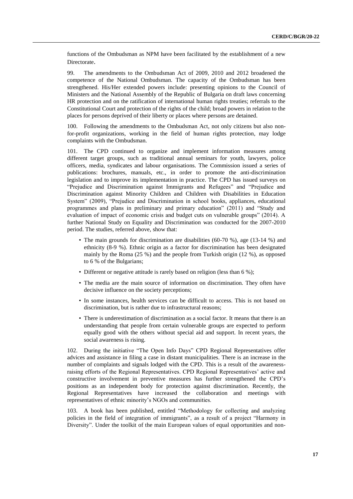functions of the Ombudsman as NPM have been facilitated by the establishment of a new Directorate.

99. The amendments to the Ombudsman Act of 2009, 2010 and 2012 broadened the competence of the National Ombudsman. The capacity of the Ombudsman has been strengthened. His/Her extended powers include: presenting opinions to the Council of Ministers and the National Assembly of the Republic of Bulgaria on draft laws concerning HR protection and on the ratification of international human rights treaties; referrals to the Constitutional Court and protection of the rights of the child; broad powers in relation to the places for persons deprived of their liberty or places where persons are detained.

100. Following the amendments to the Ombudsman Act, not only citizens but also nonfor-profit organizations, working in the field of human rights protection, may lodge complaints with the Ombudsman.

101. The CPD continued to organize and implement information measures among different target groups, such as traditional annual seminars for youth, lawyers, police officers, media, syndicates and labour organisations. The Commission issued a series of publications: brochures, manuals, etc., in order to promote the anti-discrimination legislation and to improve its implementation in practice. The CPD has issued surveys on "Prejudice and Discrimination against Immigrants and Refugees" and "Prejudice and Discrimination against Minority Children and Children with Disabilities in Education System" (2009), "Prejudice and Discrimination in school books, appliances, educational programmes and plans in preliminary and primary education" (2011) and "Study and evaluation of impact of economic crisis and budget cuts on vulnerable groups" (2014). A further National Study on Equality and Discrimination was conducted for the 2007-2010 period. The studies, referred above, show that:

- The main grounds for discrimination are disabilities (60-70 %), age (13-14 %) and ethnicity (8-9 %). Ethnic origin as a factor for discrimination has been designated mainly by the Roma (25 %) and the people from Turkish origin (12 %), as opposed to 6 % of the Bulgarians;
- Different or negative attitude is rarely based on religion (less than 6 %);
- The media are the main source of information on discrimination. They often have decisive influence on the society perceptions;
- In some instances, health services can be difficult to access. This is not based on discrimination, but is rather due to infrastructural reasons;
- There is underestimation of discrimination as a social factor. It means that there is an understanding that people from certain vulnerable groups are expected to perform equally good with the others without special aid and support. In recent years, the social awareness is rising.

102. During the initiative "The Open Info Days" CPD Regional Representatives offer advices and assistance in filing a case in distant municipalities. There is an increase in the number of complaints and signals lodged with the CPD. This is a result of the awarenessraising efforts of the Regional Representatives. CPD Regional Representatives' active and constructive involvement in preventive measures has further strengthened the CPD's positions as an independent body for protection against discrimination. Recently, the Regional Representatives have increased the collaboration and meetings with representatives of ethnic minority's NGOs and communities.

103. A book has been published, entitled "Methodology for collecting and analyzing policies in the field of integration of immigrants", as a result of a project "Harmony in Diversity". Under the toolkit of the main European values of equal opportunities and non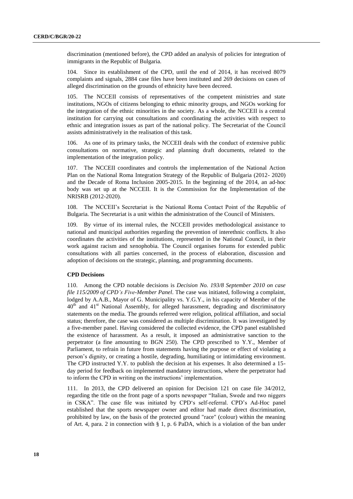discrimination (mentioned before), the CPD added an analysis of policies for integration of immigrants in the Republic of Bulgaria.

104. Since its establishment of the CPD, until the end of 2014, it has received 8079 complaints and signals, 2884 case files have been instituted and 269 decisions on cases of alleged discrimination on the grounds of ethnicity have been decreed.

105. The NCCEII consists of representatives of the competent ministries and state institutions, NGOs of citizens belonging to ethnic minority groups, and NGOs working for the integration of the ethnic minorities in the society. As a whole, the NCCEII is a central institution for carrying out consultations and coordinating the activities with respect to ethnic and integration issues as part of the national policy. The Secretariat of the Council assists administratively in the realisation of this task.

106. As one of its primary tasks, the NCCEII deals with the conduct of extensive public consultations on normative, strategic and planning draft documents, related to the implementation of the integration policy.

107. The NCCEII coordinates and controls the implementation of the National Action Plan on the National Roma Integration Strategy of the Republic of Bulgaria (2012- 2020) and the Decade of Roma Inclusion 2005-2015. In the beginning of the 2014, an ad-hoc body was set up at the NCCEII. It is the Commission for the Implementation of the NRISRB (2012-2020).

108. The NCCEII's Secretariat is the National Roma Contact Point of the Republic of Bulgaria. The Secretariat is a unit within the administration of the Council of Ministers.

109. By virtue of its internal rules, the NCCEII provides methodological assistance to national and municipal authorities regarding the prevention of interethnic conflicts. It also coordinates the activities of the institutions, represented in the National Council, in their work against racism and xenophobia. The Council organises forums for extended public consultations with all parties concerned, in the process of elaboration, discussion and adoption of decisions on the strategic, planning, and programming documents.

#### **CPD Decisions**

110. Among the CPD notable decisions is *Decision No. 193/8 September 2010 on case file 115/2009 of CPD's Five-Member Panel*. The case was initiated, following a complaint, lodged by A.A.B., Mayor of G. Municipality vs. Y.G.Y., in his capacity of Member of the  $40<sup>th</sup>$  and  $41<sup>st</sup>$  National Assembly, for alleged harassment, degrading and discriminatory statements on the media. The grounds referred were religion, political affiliation, and social status; therefore, the case was considered as multiple discrimination. It was investigated by a five-member panel. Having considered the collected evidence, the CPD panel established the existence of harassment. As a result, it imposed an administrative sanction to the perpetrator (a fine amounting to BGN 250). The CPD prescribed to Y.Y., Member of Parliament, to refrain in future from statements having the purpose or effect of violating a person's dignity, or creating a hostile, degrading, humiliating or intimidating environment. The CPD instructed Y.Y. to publish the decision at his expenses. It also determined a 15 day period for feedback on implemented mandatory instructions, where the perpetrator had to inform the CPD in writing on the instructions' implementation.

111. In 2013, the CPD delivered an opinion for Decision 121 on case file 34/2012, regarding the title on the front page of a sports newspaper "Italian, Swede and two niggers in CSKA". The case file was initiated by CPD's self-referral. CPD's Ad-Hoc panel established that the sports newspaper owner and editor had made direct discrimination, prohibited by law, on the basis of the protected ground "race" (colour) within the meaning of Art. 4, para. 2 in connection with § 1, p. 6 PaDA, which is a violation of the ban under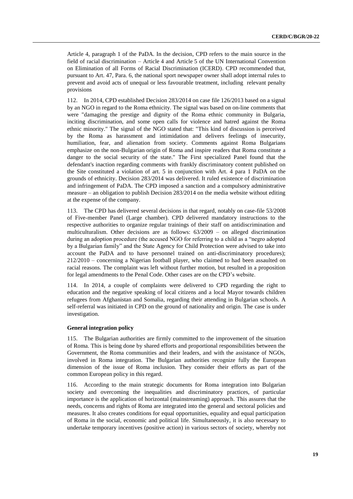Article 4, paragraph 1 of the PaDA. In the decision, CPD refers to the main source in the field of racial discrimination – Article 4 and Article 5 of the UN International Convention on Elimination of all Forms of Racial Discrimination (ICERD). CPD recommended that, pursuant to Art. 47, Para. 6, the national sport newspaper owner shall adopt internal rules to prevent and avoid acts of unequal or less favourable treatment, including relevant penalty provisions

112. In 2014, CPD established Decision 283/2014 on case file 126/2013 based on a signal by an NGO in regard to the Roma ethnicity. The signal was based on on-line comments that were "damaging the prestige and dignity of the Roma ethnic community in Bulgaria, inciting discrimination, and some open calls for violence and hatred against the Roma ethnic minority." The signal of the NGO stated that: "This kind of discussion is perceived by the Roma as harassment and intimidation and delivers feelings of insecurity, humiliation, fear, and alienation from society. Comments against Roma Bulgarians emphasize on the non-Bulgarian origin of Roma and inspire readers that Roma constitute a danger to the social security of the state." The First specialized Panel found that the defendant's inaction regarding comments with frankly discriminatory content published on the Site constituted a violation of art. 5 in conjunction with Art. 4 para 1 PaDA on the grounds of ethnicity. Decision 283/2014 was delivered. It ruled existence of discrimination and infringement of PaDA. The CPD imposed a sanction and a compulsory administrative measure – an obligation to publish Decision 283/2014 on the media website without editing at the expense of the company.

113. The CPD has delivered several decisions in that regard, notably on case-file 53/2008 of Five-member Panel (Large chamber). CPD delivered mandatory instructions to the respective authorities to organize regular trainings of their staff on antidiscrimination and multiculturalism. Other decisions are as follows: 63/2009 – on alleged discrimination during an adoption procedure (the accused NGO for referring to a child as a "negro adopted by a Bulgarian family" and the State Agency for Child Protection were advised to take into account the PaDA and to have personnel trained on anti-discriminatory procedures); 212/2010 – concerning a Nigerian football player, who claimed to had been assaulted on racial reasons. The complaint was left without further motion, but resulted in a proposition for legal amendments to the Penal Code. Other cases are on the CPD's website.

114. In 2014, a couple of complaints were delivered to CPD regarding the right to education and the negative speaking of local citizens and a local Mayor towards children refugees from Afghanistan and Somalia, regarding their attending in Bulgarian schools. A self-referral was initiated in CPD on the ground of nationality and origin. The case is under investigation.

### **General integration policy**

115. The Bulgarian authorities are firmly committed to the improvement of the situation of Roma. This is being done by shared efforts and proportional responsibilities between the Government, the Roma communities and their leaders, and with the assistance of NGOs, involved in Roma integration. The Bulgarian authorities recognize fully the European dimension of the issue of Roma inclusion. They consider their efforts as part of the common European policy in this regard.

116. According to the main strategic documents for Roma integration into Bulgarian society and overcoming the inequalities and discriminatory practices, of particular importance is the application of horizontal (mainstreaming) approach. This assures that the needs, concerns and rights of Roma are integrated into the general and sectoral policies and measures. It also creates conditions for equal opportunities, equality and equal participation of Roma in the social, economic and political life. Simultaneously, it is also necessary to undertake temporary incentives (positive action) in various sectors of society, whereby not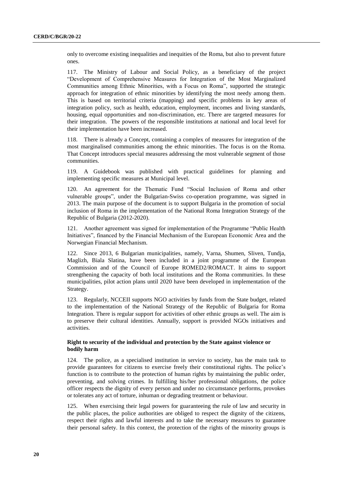only to overcome existing inequalities and inequities of the Roma, but also to prevent future ones.

117. The Ministry of Labour and Social Policy, as a beneficiary of the project "Development of Comprehensive Measures for Integration of the Most Marginalized Communities among Ethnic Minorities, with a Focus on Roma", supported the strategic approach for integration of ethnic minorities by identifying the most needy among them. This is based on territorial criteria (mapping) and specific problems in key areas of integration policy, such as health, education, employment, incomes and living standards, housing, equal opportunities and non-discrimination, etc. There are targeted measures for their integration. The powers of the responsible institutions at national and local level for their implementation have been increased.

118. There is already a Concept, containing a complex of measures for integration of the most marginalised communities among the ethnic minorities. The focus is on the Roma. That Concept introduces special measures addressing the most vulnerable segment of those communities.

119. A Guidebook was published with practical guidelines for planning and implementing specific measures at Municipal level.

120. An agreement for the Thematic Fund "Social Inclusion of Roma and other vulnerable groups", under the Bulgarian-Swiss co-operation programme, was signed in 2013. The main purpose of the document is to support Bulgaria in the promotion of social inclusion of Roma in the implementation of the National Roma Integration Strategy of the Republic of Bulgaria (2012-2020).

121. Another agreement was signed for implementation of the Programme "Public Health Initiatives", financed by the Financial Mechanism of the European Economic Area and the Norwegian Financial Mechanism.

122. Since 2013, 6 Bulgarian municipalities, namely, Varna, Shumen, Sliven, Tundja, Maglizh, Biala Slatina, have been included in a joint programme of the European Commission and of the Council of Europe ROMED2/ROMACT. It aims to support strengthening the capacity of both local institutions and the Roma communities. In these municipalities, pilot action plans until 2020 have been developed in implementation of the Strategy.

123. Regularly, NCCEII supports NGO activities by funds from the State budget, related to the implementation of the National Strategy of the Republic of Bulgaria for Roma Integration. There is regular support for activities of other ethnic groups as well. The aim is to preserve their cultural identities. Annually, support is provided NGOs initiatives and activities.

### **Right to security of the individual and protection by the State against violence or bodily harm**

124. The police, as a specialised institution in service to society, has the main task to provide guarantees for citizens to exercise freely their constitutional rights. The police's function is to contribute to the protection of human rights by maintaining the public order, preventing, and solving crimes. In fulfilling his/her professional obligations, the police officer respects the dignity of every person and under no circumstance performs, provokes or tolerates any act of torture, inhuman or degrading treatment or behaviour.

125. When exercising their legal powers for guaranteeing the rule of law and security in the public places, the police authorities are obliged to respect the dignity of the citizens, respect their rights and lawful interests and to take the necessary measures to guarantee their personal safety. In this context, the protection of the rights of the minority groups is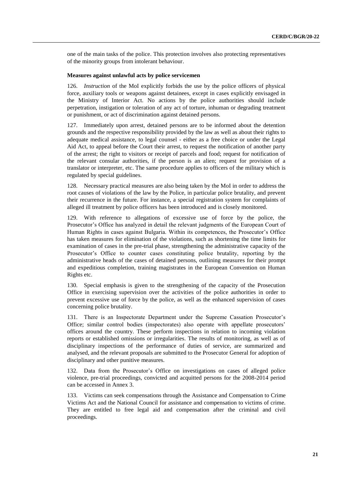one of the main tasks of the police. This protection involves also protecting representatives of the minority groups from intolerant behaviour.

#### **Measures against unlawful acts by police servicemen**

126. *Instruction* of the MoI explicitly forbids the use by the police officers of physical force, auxiliary tools or weapons against detainees, except in cases explicitly envisaged in the Ministry of Interior Act. No actions by the police authorities should include perpetration, instigation or toleration of any act of torture, inhuman or degrading treatment or punishment, or act of discrimination against detained persons.

127. Immediately upon arrest, detained persons are to be informed about the detention grounds and the respective responsibility provided by the law as well as about their rights to adequate medical assistance, to legal counsel - either as a free choice or under the Legal Aid Act, to appeal before the Court their arrest, to request the notification of another party of the arrest; the right to visitors or receipt of parcels and food; request for notification of the relevant consular authorities, if the person is an alien; request for provision of a translator or interpreter, etc. The same procedure applies to officers of the military which is regulated by special guidelines.

128. Necessary practical measures are also being taken by the MoI in order to address the root causes of violations of the law by the Police, in particular police brutality, and prevent their recurrence in the future. For instance, a special registration system for complaints of alleged ill treatment by police officers has been introduced and is closely monitored.

129. With reference to allegations of excessive use of force by the police, the Prosecutor's Office has analyzed in detail the relevant judgments of the European Court of Human Rights in cases against Bulgaria. Within its competences, the Prosecutor's Office has taken measures for elimination of the violations, such as shortening the time limits for examination of cases in the pre-trial phase, strengthening the administrative capacity of the Prosecutor's Office to counter cases constituting police brutality, reporting by the administrative heads of the cases of detained persons, outlining measures for their prompt and expeditious completion, training magistrates in the European Convention on Human Rights etc.

130. Special emphasis is given to the strengthening of the capacity of the Prosecution Office in exercising supervision over the activities of the police authorities in order to prevent excessive use of force by the police, as well as the enhanced supervision of cases concerning police brutality.

131. There is an Inspectorate Department under the Supreme Cassation Prosecutor's Office; similar control bodies (inspectorates) also operate with appellate prosecutors' offices around the country. These perform inspections in relation to incoming violation reports or established omissions or irregularities. The results of monitoring, as well as of disciplinary inspections of the performance of duties of service, are summarized and analysed, and the relevant proposals are submitted to the Prosecutor General for adoption of disciplinary and other punitive measures.

132. Data from the Prosecutor's Office on investigations on cases of alleged police violence, pre-trial proceedings, convicted and acquitted persons for the 2008-2014 period can be accessed in Annex 3.

133. Victims can seek compensations through the Assistance and Compensation to Crime Victims Act and the National Council for assistance and compensation to victims of crime. They are entitled to free legal aid and compensation after the criminal and civil proceedings.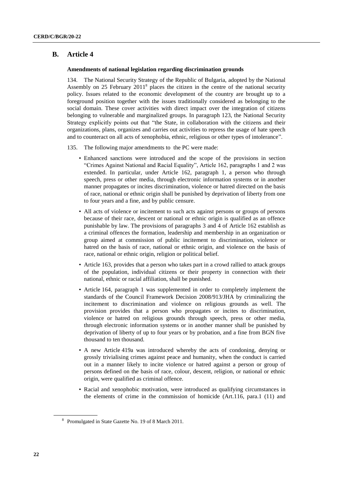## **B. Article 4**

#### **Amendments of national legislation regarding discrimination grounds**

134. The National Security Strategy of the Republic of Bulgaria, adopted by the National Assembly on  $25$  February  $2011<sup>8</sup>$  places the citizen in the centre of the national security policy. Issues related to the economic development of the country are brought up to a foreground position together with the issues traditionally considered as belonging to the social domain. These cover activities with direct impact over the integration of citizens belonging to vulnerable and marginalized groups. In paragraph 123, the National Security Strategy explicitly points out that "the State, in collaboration with the citizens and their organizations, plans, organizes and carries out activities to repress the usage of hate speech and to counteract on all acts of xenophobia, ethnic, religious or other types of intolerance".

- 135. The following major amendments to the PC were made:
	- Enhanced sanctions were introduced and the scope of the provisions in section "Crimes Against National and Racial Equality", Article 162, paragraphs 1 and 2 was extended. In particular, under Article 162, paragraph 1, a person who through speech, press or other media, through electronic information systems or in another manner propagates or incites discrimination, violence or hatred directed on the basis of race, national or ethnic origin shall be punished by deprivation of liberty from one to four years and a fine, and by public censure.
	- All acts of violence or incitement to such acts against persons or groups of persons because of their race, descent or national or ethnic origin is qualified as an offence punishable by law. The provisions of paragraphs 3 and 4 of Article 162 establish as a criminal offences the formation, leadership and membership in an organization or group aimed at commission of public incitement to discrimination, violence or hatred on the basis of race, national or ethnic origin, and violence on the basis of race, national or ethnic origin, religion or political belief.
	- Article 163, provides that a person who takes part in a crowd rallied to attack groups of the population, individual citizens or their property in connection with their national, ethnic or racial affiliation, shall be punished.
	- Article 164, paragraph 1 was supplemented in order to completely implement the standards of the Council Framework Decision 2008/913/JHA by criminalizing the incitement to discrimination and violence on religious grounds as well. The provision provides that a person who propagates or incites to discrimination, violence or hatred on religious grounds through speech, press or other media, through electronic information systems or in another manner shall be punished by deprivation of liberty of up to four years or by probation, and a fine from BGN five thousand to ten thousand.
	- A new Article 419a was introduced whereby the acts of condoning, denying or grossly trivialising crimes against peace and humanity, when the conduct is carried out in a manner likely to incite violence or hatred against a person or group of persons defined on the basis of race, colour, descent, religion, or national or ethnic origin, were qualified as criminal offence.
	- Racial and xenophobic motivation, were introduced as qualifying circumstances in the elements of crime in the commission of homicide (Art.116, para.1 (11) and

<sup>&</sup>lt;sup>8</sup> Promulgated in State Gazette No. 19 of 8 March 2011.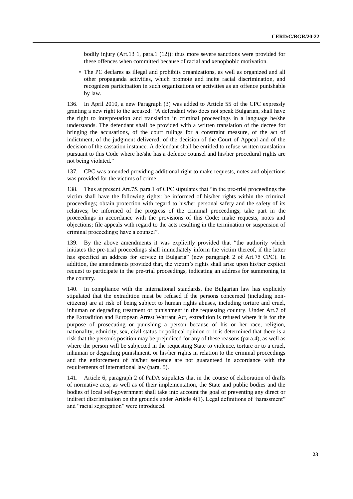bodily injury (Art.13 1, para.1 (12)): thus more severe sanctions were provided for these offences when committed because of racial and xenophobic motivation.

• The PC declares as illegal and prohibits organizations, as well as organized and all other propaganda activities, which promote and incite racial discrimination, and recognizes participation in such organizations or activities as an offence punishable by law.

136. In April 2010, a new Paragraph (3) was added to Article 55 of the CPC expressly granting a new right to the accused: "A defendant who does not speak Bulgarian, shall have the right to interpretation and translation in criminal proceedings in a language he/she understands. The defendant shall be provided with a written translation of the decree for bringing the accusations, of the court rulings for a constraint measure, of the act of indictment, of the judgment delivered, of the decision of the Court of Appeal and of the decision of the cassation instance. A defendant shall be entitled to refuse written translation pursuant to this Code where he/she has a defence counsel and his/her procedural rights are not being violated."

137. CPC was amended providing additional right to make requests, notes and objections was provided for the victims of crime.

138. Thus at present Art.75, para.1 of CPC stipulates that "in the pre-trial proceedings the victim shall have the following rights: be informed of his/her rights within the criminal proceedings; obtain protection with regard to his/her personal safety and the safety of its relatives; be informed of the progress of the criminal proceedings; take part in the proceedings in accordance with the provisions of this Code; make requests, notes and objections; file appeals with regard to the acts resulting in the termination or suspension of criminal proceedings; have a counsel".

139. By the above amendments it was explicitly provided that "the authority which initiates the pre-trial proceedings shall immediately inform the victim thereof, if the latter has specified an address for service in Bulgaria" (new paragraph 2 of Art.75 CPC). In addition, the amendments provided that, the victim's rights shall arise upon his/her explicit request to participate in the pre-trial proceedings, indicating an address for summoning in the country.

140. In compliance with the international standards, the Bulgarian law has explicitly stipulated that the extradition must be refused if the persons concerned (including noncitizens) are at risk of being subject to human rights abuses, including torture and cruel, inhuman or degrading treatment or punishment in the requesting country. Under Art.7 of the Extradition and European Arrest Warrant Act, extradition is refused where it is for the purpose of prosecuting or punishing a person because of his or her race, religion, nationality, ethnicity, sex, civil status or political opinion or it is determined that there is a risk that the person's position may be prejudiced for any of these reasons (para.4), as well as where the person will be subjected in the requesting State to violence, torture or to a cruel, inhuman or degrading punishment, or his/her rights in relation to the criminal proceedings and the enforcement of his/her sentence are not guaranteed in accordance with the requirements of international law (para. 5).

141. Article 6, paragraph 2 of PaDA stipulates that in the course of elaboration of drafts of normative acts, as well as of their implementation, the State and public bodies and the bodies of local self-government shall take into account the goal of preventing any direct or indirect discrimination on the grounds under Article 4(1). Legal definitions of 'harassment" and "racial segregation" were introduced.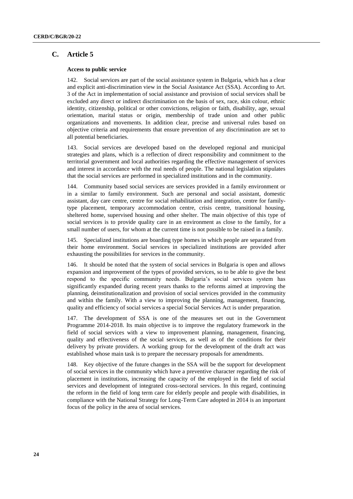## **C. Article 5**

#### **Access to public service**

Social services are part of the social assistance system in Bulgaria, which has a clear and explicit anti-discrimination view in the Social Assistance Act (SSA). According to Art. 3 of the Act in implementation of social assistance and provision of social services shall be excluded any direct or indirect discrimination on the basis of sex, race, skin colour, ethnic identity, citizenship, political or other convictions, religion or faith, disability, age, sexual orientation, marital status or origin, membership of trade union and other public organizations and movements. In addition clear, precise and universal rules based on objective criteria and requirements that ensure prevention of any discrimination are set to all potential beneficiaries.

143. Social services are developed based on the developed regional and municipal strategies and plans, which is a reflection of direct responsibility and commitment to the territorial government and local authorities regarding the effective management of services and interest in accordance with the real needs of people. The national legislation stipulates that the social services are performed in specialized institutions and in the community.

144. Community based social services are services provided in a family environment or in a similar to family environment. Such are personal and social assistant, domestic assistant, day care centre, centre for social rehabilitation and integration, centre for familytype placement, temporary accommodation centre, crisis centre, transitional housing, sheltered home, supervised housing and other shelter. The main objective of this type of social services is to provide quality care in an environment as close to the family, for a small number of users, for whom at the current time is not possible to be raised in a family.

145. Specialized institutions are boarding type homes in which people are separated from their home environment. Social services in specialized institutions are provided after exhausting the possibilities for services in the community.

146. It should be noted that the system of social services in Bulgaria is open and allows expansion and improvement of the types of provided services, so to be able to give the best respond to the specific community needs. Bulgaria's social services system has significantly expanded during recent years thanks to the reforms aimed at improving the planning, deinstitutionalization and provision of social services provided in the community and within the family. With a view to improving the planning, management, financing, quality and efficiency of social services a special Social Services Act is under preparation.

147. The development of SSA is one of the measures set out in the Government Programme 2014-2018. Its main objective is to improve the regulatory framework in the field of social services with a view to improvement planning, management, financing, quality and effectiveness of the social services, as well as of the conditions for their delivery by private providers. A working group for the development of the draft act was established whose main task is to prepare the necessary proposals for amendments.

148. Key objective of the future changes in the SSA will be the support for development of social services in the community which have a preventive character regarding the risk of placement in institutions, increasing the capacity of the employed in the field of social services and development of integrated cross-sectoral services. In this regard, continuing the reform in the field of long term care for elderly people and people with disabilities, in compliance with the National Strategy for Long-Term Care adopted in 2014 is an important focus of the policy in the area of social services.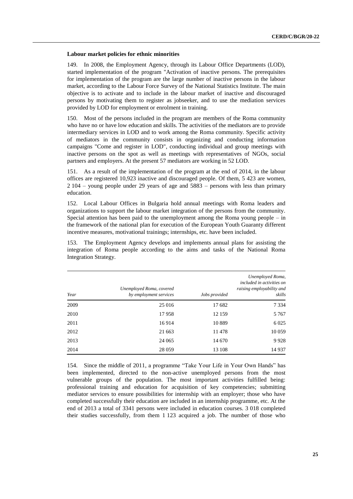#### **Labour market policies for ethnic minorities**

149. In 2008, the Employment Agency, through its Labour Office Departments (LOD), started implementation of the program "Activation of inactive persons. The prerequisites for implementation of the program are the large number of inactive persons in the labour market, according to the Labour Force Survey of the National Statistics Institute. The main objective is to activate and to include in the labour market of inactive and discouraged persons by motivating them to register as jobseeker, and to use the mediation services provided by LOD for employment or enrolment in training.

150. Most of the persons included in the program are members of the Roma community who have no or have low education and skills. The activities of the mediators are to provide intermediary services in LOD and to work among the Roma community. Specific activity of mediators in the community consists in organizing and conducting information campaigns "Come and register in LOD", conducting individual and group meetings with inactive persons on the spot as well as meetings with representatives of NGOs, social partners and employers. At the present 57 mediators are working in 52 LOD.

151. As a result of the implementation of the program at the end of 2014, in the labour offices are registered 10,923 inactive and discouraged people. Of them, 5 423 are women, 2 104 – young people under 29 years of age and 5883 – persons with less than primary education.

152. Local Labour Offices in Bulgaria hold annual meetings with Roma leaders and organizations to support the labour market integration of the persons from the community. Special attention has been paid to the unemployment among the Roma young people – in the framework of the national plan for execution of the European Youth Guaranty different incentive measures, motivational trainings; internships, etc. have been included.

153. The Employment Agency develops and implements annual plans for assisting the integration of Roma people according to the aims and tasks of the National Roma Integration Strategy.

| Year | Unemployed Roma, covered<br>by employment services | Jobs provided | Unemployed Roma,<br>included in activities on<br>raising employability and<br>skills |
|------|----------------------------------------------------|---------------|--------------------------------------------------------------------------------------|
| 2009 | 25 016                                             | 17682         | 7 3 3 4                                                                              |
| 2010 | 17958                                              | 12 159        | 5 7 6 7                                                                              |
| 2011 | 16914                                              | 10889         | 6 0 25                                                                               |
| 2012 | 21 663                                             | 11478         | 10 0 59                                                                              |
| 2013 | 24 065                                             | 14 670        | 9928                                                                                 |
| 2014 | 28 0 59                                            | 13 108        | 14 9 37                                                                              |

154. Since the middle of 2011, a programme "Take Your Life in Your Own Hands" has been implemented, directed to the non-active unemployed persons from the most vulnerable groups of the population. The most important activities fulfilled being: professional training and education for acquisition of key competencies; submitting mediator services to ensure possibilities for internship with an employer; those who have completed successfully their education are included in an internship programme, etc. At the end of 2013 a total of 3341 persons were included in education courses. 3 018 completed their studies successfully, from them 1 123 acquired a job. The number of those who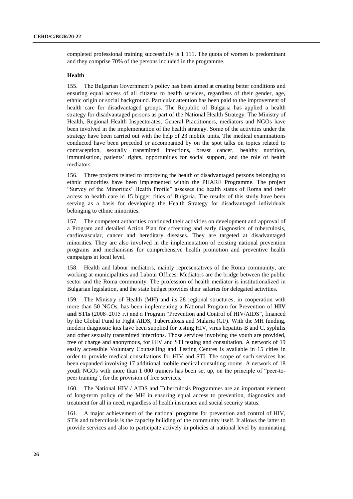completed professional training successfully is 1 111. The quota of women is predominant and they comprise 70% of the persons included in the programme.

## **Health**

155. The Bulgarian Government's policy has been aimed at creating better conditions and ensuring equal access of all citizens to health services, regardless of their gender, age, ethnic origin or social background. Particular attention has been paid to the improvement of health care for disadvantaged groups. The Republic of Bulgaria has applied a health strategy for disadvantaged persons as part of the National Health Strategy. The Ministry of Health, Regional Health Inspectorates, General Practitioners, mediators and NGOs have been involved in the implementation of the health strategy. Some of the activities under the strategy have been carried out with the help of 23 mobile units. The medical examinations conducted have been preceded or accompanied by on the spot talks on topics related to contraception, sexually transmitted infections, breast cancer, healthy nutrition, immunisation, patients' rights, opportunities for social support, and the role of health mediators.

156. Three projects related to improving the health of disadvantaged persons belonging to ethnic minorities have been implemented within the PHARE Programme. The project "Survey of the Minorities' Health Profile" assesses the health status of Roma and their access to health care in 15 bigger cities of Bulgaria. The results of this study have been serving as a basis for developing the Health Strategy for disadvantaged individuals belonging to ethnic minorities.

157. The competent authorities continued their activities on development and approval of a Program and detailed Action Plan for screening and early diagnostics of tuberculosis, cardiovascular, cancer and hereditary diseases. They are targeted at disadvantaged minorities. They are also involved in the implementation of existing national prevention programs and mechanisms for comprehensive health promotion and preventive health campaigns at local level.

158. Health and labour mediators, mainly representatives of the Roma community, are working at municipalities and Labour Offices. Mediators are the bridge between the public sector and the Roma community. The profession of health mediator is institutionalized in Bulgarian legislation, and the state budget provides their salaries for delegated activities.

159. The Ministry of Health (MH) and its 28 regional structures, in cooperation with more than 50 NGOs, has been implementing a National Program for Prevention of **HIV and STIs** (2008–2015 г.) and a Program "Prevention and Control of HIV/AIDS", financed by the Global Fund to Fight AIDS, Tuberculosis and Malaria (GF). With the MH funding, modern diagnostic kits have been supplied for testing HIV, virus hepatitis B and C, syphilis and other sexually transmitted infections. Those services involving the youth are provided, free of charge and anonymous, for HIV and STI testing and consultation. A network of 19 easily accessible Voluntary Counselling and Testing Centres is available in 15 cities in order to provide medical consultations for HIV and STI. The scope of such services has been expanded involving 17 additional mobile medical consulting rooms. A network of 18 youth NGOs with more than 1 000 trainers has been set up, on the principle of "peer-topeer training", for the provision of free services.

160. The National HIV / AIDS and Tuberculosis Programmes are an important element of long-term policy of the MH in ensuring equal access to prevention, diagnostics and treatment for all in need, regardless of health insurance and social security status.

161. A major achievement of the national programs for prevention and control of HIV, STIs and tuberculosis is the capacity building of the community itself. It allows the latter to provide services and also to participate actively in policies at national level by nominating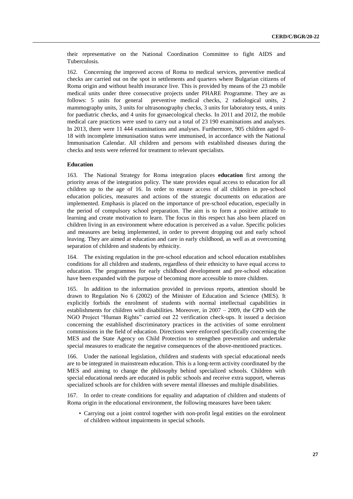their representative on the National Coordination Committee to fight AIDS and Tuberculosis.

162. Concerning the improved access of Roma to medical services, preventive medical checks are carried out on the spot in settlements and quarters where Bulgarian citizens of Roma origin and without health insurance live. This is provided by means of the 23 mobile medical units under three consecutive projects under PHARE Programme. They are as follows: 5 units for general preventive medical checks, 2 radiological units, 2 mammography units, 3 units for ultrasonography checks, 3 units for laboratory tests, 4 units for paediatric checks, and 4 units for gynaecological checks. In 2011 and 2012, the mobile medical care practices were used to carry out a total of 23 190 examinations and analyses. In 2013, there were 11 444 examinations and analyses. Furthermore, 905 children aged 0- 18 with incomplete immunisation status were immunised, in accordance with the National Immunisation Calendar. All children and persons with established diseases during the checks and tests were referred for treatment to relevant specialists.

### **Education**

163. The National Strategy for Roma integration places **education** first among the priority areas of the integration policy. The state provides equal access to education for all children up to the age of 16. In order to ensure access of all children in pre-school education policies, measures and actions of the strategic documents on education are implemented. Emphasis is placed on the importance of pre-school education, especially in the period of compulsory school preparation. The aim is to form a positive attitude to learning and create motivation to learn. The focus in this respect has also been placed on children living in an environment where education is perceived as a value. Specific policies and measures are being implemented, in order to prevent dropping out and early school leaving. They are aimed at education and care in early childhood, as well as at overcoming separation of children and students by ethnicity.

164. The existing regulation in the pre-school education and school education establishes conditions for all children and students, regardless of their ethnicity to have equal access to education. The programmes for early childhood development and pre-school education have been expanded with the purpose of becoming more accessible to more children.

165. In addition to the information provided in previous reports, attention should be drawn to Regulation No 6 (2002) of the Minister of Education and Science (MES). It explicitly forbids the enrolment of students with normal intellectual capabilities in establishments for children with disabilities. Moreover, in 2007 – 2009, the CPD with the NGO Project "Human Rights" carried out 22 verification check-ups. It issued a decision concerning the established discriminatory practices in the activities of some enrolment commissions in the field of education. Directions were enforced specifically concerning the MES and the State Agency on Child Protection to strengthen prevention and undertake special measures to eradicate the negative consequences of the above-mentioned practices.

166. Under the national legislation, children and students with special educational needs are to be integrated in mainstream education. This is a long-term activity coordinated by the MES and aiming to change the philosophy behind specialized schools. Children with special educational needs are educated in public schools and receive extra support, whereas specialized schools are for children with severe mental illnesses and multiple disabilities.

167. In order to create conditions for equality and adaptation of children and students of Roma origin in the educational environment, the following measures have been taken:

• Carrying out a joint control together with non-profit legal entities on the enrolment of children without impairments in special schools.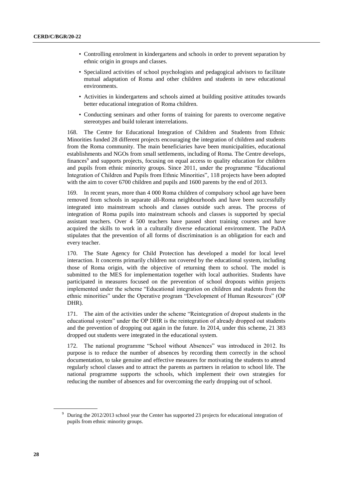- Controlling enrolment in kindergartens and schools in order to prevent separation by ethnic origin in groups and classes.
- Specialized activities of school psychologists and pedagogical advisors to facilitate mutual adaptation of Roma and other children and students in new educational environments.
- Activities in kindergartens and schools aimed at building positive attitudes towards better educational integration of Roma children.
- Conducting seminars and other forms of training for parents to overcome negative stereotypes and build tolerant interrelations.

168. The Centre for Educational Integration of Children and Students from Ethnic Minorities funded 28 different projects encouraging the integration of children and students from the Roma community. The main beneficiaries have been municipalities, educational establishments and NGOs from small settlements, including of Roma. The Centre develops, finances<sup>9</sup> and supports projects, focusing on equal access to quality education for children and pupils from ethnic minority groups. Since 2011, under the programme "Educational Integration of Children and Pupils from Ethnic Minorities", 118 projects have been adopted with the aim to cover 6700 children and pupils and 1600 parents by the end of 2013.

169. In recent years, more than 4 000 Roma children of compulsory school age have been removed from schools in separate all-Roma neighbourhoods and have been successfully integrated into mainstream schools and classes outside such areas. The process of integration of Roma pupils into mainstream schools and classes is supported by special assistant teachers. Over 4 500 teachers have passed short training courses and have acquired the skills to work in a culturally diverse educational environment. The PaDA stipulates that the prevention of all forms of discrimination is an obligation for each and every teacher.

170. The State Agency for Child Protection has developed a model for local level interaction. It concerns primarily children not covered by the educational system, including those of Roma origin, with the objective of returning them to school. The model is submitted to the MES for implementation together with local authorities. Students have participated in measures focused on the prevention of school dropouts within projects implemented under the scheme "Educational integration on children and students from the ethnic minorities" under the Operative program "Development of Human Resources" (OP DHR).

171. The aim of the activities under the scheme "Reintegration of dropout students in the educational system" under the OP DHR is the reintegration of already dropped out students and the prevention of dropping out again in the future. In 2014, under this scheme, 21 383 dropped out students were integrated in the educational system.

172. The national programme "School without Absences" was introduced in 2012. Its purpose is to reduce the number of absences by recording them correctly in the school documentation, to take genuine and effective measures for motivating the students to attend regularly school classes and to attract the parents as partners in relation to school life. The national programme supports the schools, which implement their own strategies for reducing the number of absences and for overcoming the early dropping out of school.

<sup>9</sup> During the 2012/2013 school year the Center has supported 23 projects for educational integration of pupils from ethnic minority groups.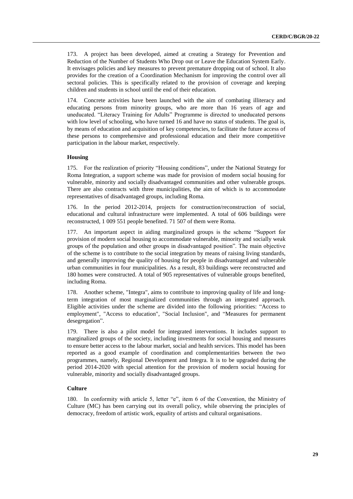173. A project has been developed, aimed at creating a Strategy for Prevention and Reduction of the Number of Students Who Drop out or Leave the Education System Early. It envisages policies and key measures to prevent premature dropping out of school. It also provides for the creation of a Coordination Mechanism for improving the control over all sectoral policies. This is specifically related to the provision of coverage and keeping children and students in school until the end of their education.

174. Concrete activities have been launched with the aim of combating illiteracy and educating persons from minority groups, who are more than 16 years of age and uneducated. "Literacy Training for Adults" Programme is directed to uneducated persons with low level of schooling, who have turned 16 and have no status of students. The goal is, by means of education and acquisition of key competencies, to facilitate the future access of these persons to comprehensive and professional education and their more competitive participation in the labour market, respectively.

#### **Housing**

175. For the realization of priority "Housing conditions", under the National Strategy for Roma Integration, a support scheme was made for provision of modern social housing for vulnerable, minority and socially disadvantaged communities and other vulnerable groups. There are also contracts with three municipalities, the aim of which is to accommodate representatives of disadvantaged groups, including Roma.

176. In the period 2012-2014, projects for construction/reconstruction of social, educational and cultural infrastructure were implemented. A total of 606 buildings were reconstructed, 1 009 551 people benefited. 71 507 of them were Roma.

177. An important aspect in aiding marginalized groups is the scheme "Support for provision of modern social housing to accommodate vulnerable, minority and socially weak groups of the population and other groups in disadvantaged position". The main objective of the scheme is to contribute to the social integration by means of raising living standards, and generally improving the quality of housing for people in disadvantaged and vulnerable urban communities in four municipalities. As a result, 83 buildings were reconstructed and 180 homes were constructed. A total of 905 representatives of vulnerable groups benefited, including Roma.

178. Another scheme, "Integra", aims to contribute to improving quality of life and longterm integration of most marginalized communities through an integrated approach. Eligible activities under the scheme are divided into the following priorities: "Access to employment", "Access to education", "Social Inclusion", and "Measures for permanent desegregation".

179. There is also a pilot model for integrated interventions. It includes support to marginalized groups of the society, including investments for social housing and measures to ensure better access to the labour market, social and health services. This model has been reported as a good example of coordination and complementarities between the two programmes, namely, Regional Development and Integra. It is to be upgraded during the period 2014-2020 with special attention for the provision of modern social housing for vulnerable, minority and socially disadvantaged groups.

### **Culture**

180. In conformity with article 5, letter "e", item 6 of the Convention, the Ministry of Culture (MC) has been carrying out its overall policy, while observing the principles of democracy, freedom of artistic work, equality of artists and cultural organisations.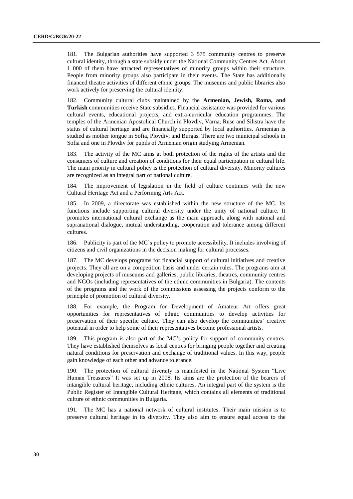181. The Bulgarian authorities have supported 3 575 community centres to preserve cultural identity, through a state subsidy under the National Community Centres Act. About 1 000 of them have attracted representatives of minority groups within their structure. People from minority groups also participate in their events. The State has additionally financed theatre activities of different ethnic groups. The museums and public libraries also work actively for preserving the cultural identity.

182. Community cultural clubs maintained by the **Armenian, Jewish, Roma, and Turkish** communities receive State subsidies. Financial assistance was provided for various cultural events, educational projects, and extra-curricular education programmes. The temples of the Armenian Apostolical Church in Plovdiv, Varna, Ruse and Silistra have the status of cultural heritage and are financially supported by local authorities. Armenian is studied as mother tongue in Sofia, Plovdiv, and Burgas. There are two municipal schools in Sofia and one in Plovdiv for pupils of Armenian origin studying Armenian.

183. The activity of the MC aims at both protection of the rights of the artists and the consumers of culture and creation of conditions for their equal participation in cultural life. The main priority in cultural policy is the protection of cultural diversity. Minority cultures are recognized as an integral part of national culture.

184. The improvement of legislation in the field of culture continues with the new Cultural Heritage Act and a Performing Arts Act.

185. In 2009, a directorate was established within the new structure of the MC. Its functions include supporting cultural diversity under the unity of national culture. It promotes international cultural exchange as the main approach, along with national and supranational dialogue, mutual understanding, cooperation and tolerance among different cultures.

186. Publicity is part of the MC's policy to promote accessibility. It includes involving of citizens and civil organizations in the decision making for cultural processes.

187. The MC develops programs for financial support of cultural initiatives and creative projects. They all are on a competition basis and under certain rules. The programs aim at developing projects of museums and galleries, public libraries, theatres, community centres and NGOs (including representatives of the ethnic communities in Bulgaria). The contents of the programs and the work of the commissions assessing the projects conform to the principle of promotion of cultural diversity.

188. For example, the Program for Development of Amateur Art offers great opportunities for representatives of ethnic communities to develop activities for preservation of their specific culture. They can also develop the communities' creative potential in order to help some of their representatives become professional artists.

189. This program is also part of the MC's policy for support of community centres. They have established themselves as local centres for bringing people together and creating natural conditions for preservation and exchange of traditional values. In this way, people gain knowledge of each other and advance tolerance.

190. The protection of cultural diversity is manifested in the National System "Live Human Treasures" It was set up in 2008. Its aims are the protection of the bearers of intangible cultural heritage, including ethnic cultures. An integral part of the system is the Public Register of Intangible Cultural Heritage, which contains all elements of traditional culture of ethnic communities in Bulgaria.

191. The MC has a national network of cultural institutes. Their main mission is to preserve cultural heritage in its diversity. They also aim to ensure equal access to the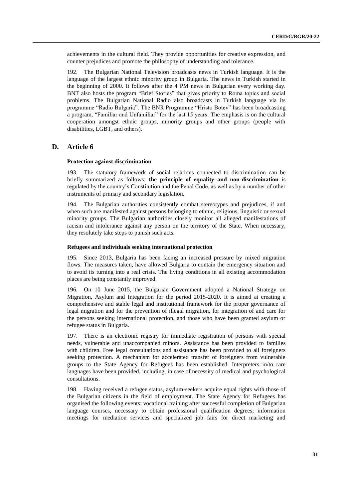achievements in the cultural field. They provide opportunities for creative expression, and counter prejudices and promote the philosophy of understanding and tolerance.

192. The Bulgarian National Television broadcasts news in Turkish language. It is the language of the largest ethnic minority group in Bulgaria. The news in Turkish started in the beginning of 2000. It follows after the 4 PM news in Bulgarian every working day. BNT also hosts the program "Brief Stories" that gives priority to Roma topics and social problems. The Bulgarian National Radio also broadcasts in Turkish language via its programme "Radio Bulgaria". The BNR Programme "Hristo Botev" has been broadcasting a program, "Familiar and Unfamiliar" for the last 15 years. The emphasis is on the cultural cooperation amongst ethnic groups, minority groups and other groups (people with disabilities, LGBT, and others).

## **D. Article 6**

#### **Protection against discrimination**

193. The statutory framework of social relations connected to discrimination can be briefly summarized as follows: **the principle of equality and non-discrimination** is regulated by the country's Constitution and the Penal Code, as well as by a number of other instruments of primary and secondary legislation.

194. The Bulgarian authorities consistently combat stereotypes and prejudices, if and when such are manifested against persons belonging to ethnic, religious, linguistic or sexual minority groups. The Bulgarian authorities closely monitor all alleged manifestations of racism and intolerance against any person on the territory of the State. When necessary, they resolutely take steps to punish such acts.

### **Refugees and individuals seeking international protection**

195. Since 2013, Bulgaria has been facing an increased pressure by mixed migration flows. The measures taken, have allowed Bulgaria to contain the emergency situation and to avoid its turning into a real crisis. The living conditions in all existing accommodation places are being constantly improved.

196. On 10 June 2015, the Bulgarian Government adopted a National Strategy on Migration, Asylum and Integration for the period 2015-2020. It is aimed at creating a comprehensive and stable legal and institutional framework for the proper governance of legal migration and for the prevention of illegal migration, for integration of and care for the persons seeking international protection, and those who have been granted asylum or refugee status in Bulgaria.

197. There is an electronic registry for immediate registration of persons with special needs, vulnerable and unaccompanied minors. Assistance has been provided to families with children. Free legal consultations and assistance has been provided to all foreigners seeking protection. A mechanism for accelerated transfer of foreigners from vulnerable groups to the State Agency for Refugees has been established. Interpreters in/to rare languages have been provided, including, in case of necessity of medical and psychological consultations.

198. Having received a refugee status, asylum-seekers acquire equal rights with those of the Bulgarian citizens in the field of employment. The State Agency for Refugees has organised the following events: vocational training after successful completion of Bulgarian language courses, necessary to obtain professional qualification degrees; information meetings for mediation services and specialized job fairs for direct marketing and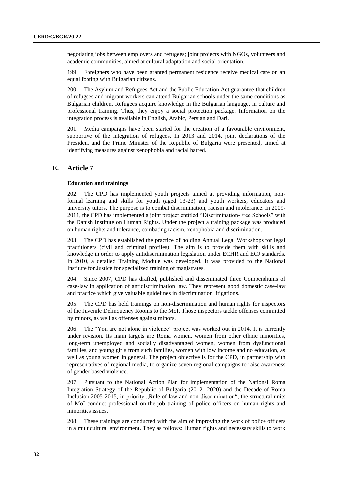negotiating jobs between employers and refugees; joint projects with NGOs, volunteers and academic communities, aimed at cultural adaptation and social orientation.

199. Foreigners who have been granted permanent residence receive medical care on an equal footing with Bulgarian citizens.

200. The Asylum and Refugees Act and the Public Education Act guarantee that children of refugees and migrant workers can attend Bulgarian schools under the same conditions as Bulgarian children. Refugees acquire knowledge in the Bulgarian language, in culture and professional training. Thus, they enjoy a social protection package. Information on the integration process is available in English, Arabic, Persian and Dari.

201. Media campaigns have been started for the creation of a favourable environment, supportive of the integration of refugees. In 2013 and 2014, joint declarations of the President and the Prime Minister of the Republic of Bulgaria were presented, aimed at identifying measures against xenophobia and racial hatred.

## **E. Article 7**

#### **Education and trainings**

202. The CPD has implemented youth projects aimed at providing information, nonformal learning and skills for youth (aged 13-23) and youth workers, educators and university tutors. The purpose is to combat discrimination, racism and intolerance. In 2009- 2011, the CPD has implemented a joint project entitled "Discrimination-Free Schools" with the Danish Institute on Human Rights. Under the project a training package was produced on human rights and tolerance, combating racism, xenophobia and discrimination.

203. The CPD has established the practice of holding Annual Legal Workshops for legal practitioners (civil and criminal profiles). The aim is to provide them with skills and knowledge in order to apply antidiscrimination legislation under ECHR and ECJ standards. In 2010, a detailed Training Module was developed. It was provided to the National Institute for Justice for specialized training of magistrates.

204. Since 2007, CPD has drafted, published and disseminated three Compendiums of case-law in application of antidiscrimination law. They represent good domestic case-law and practice which give valuable guidelines in discrimination litigations.

205. The CPD has held trainings on non-discrimination and human rights for inspectors of the Juvenile Delinquency Rooms to the MoI. Those inspectors tackle offenses committed by minors, as well as offenses against minors.

206. The "You are not alone in violence" project was worked out in 2014. It is currently under revision. Its main targets are Roma women, women from other ethnic minorities, long-term unemployed and socially disadvantaged women, women from dysfunctional families, and young girls from such families, women with low income and no education, as well as young women in general. The project objective is for the CPD, in partnership with representatives of regional media, to organize seven regional campaigns to raise awareness of gender-based violence.

207. Pursuant to the National Action Plan for implementation of the National Roma Integration Strategy of the Republic of Bulgaria (2012- 2020) and the Decade of Roma Inclusion 2005-2015, in priority ,,Rule of law and non-discrimination", the structural units of MoI conduct professional on-the-job training of police officers on human rights and minorities issues.

208. These trainings are conducted with the aim of improving the work of police officers in a multicultural environment. They as follows: Human rights and necessary skills to work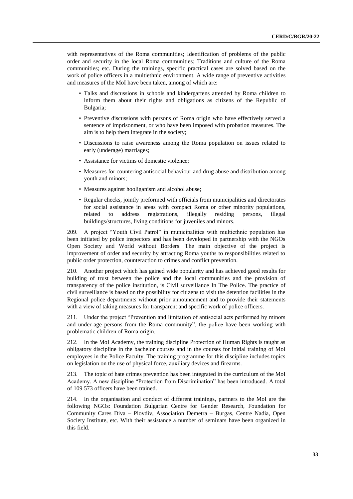with representatives of the Roma communities; Identification of problems of the public order and security in the local Roma communities; Traditions and culture of the Roma communities; etc. During the trainings, specific practical cases are solved based on the work of police officers in a multiethnic environment. A wide range of preventive activities and measures of the MoI have been taken, among of which are:

- Talks and discussions in schools and kindergartens attended by Roma children to inform them about their rights and obligations as citizens of the Republic of Bulgaria;
- Preventive discussions with persons of Roma origin who have effectively served a sentence of imprisonment, or who have been imposed with probation measures. The aim is to help them integrate in the society;
- Discussions to raise awareness among the Roma population on issues related to early (underage) marriages;
- Assistance for victims of domestic violence;
- Measures for countering antisocial behaviour and drug abuse and distribution among youth and minors;
- Measures against hooliganism and alcohol abuse;
- Regular checks, jointly preformed with officials from municipalities and directorates for social assistance in areas with compact Roma or other minority populations, related to address registrations, illegally residing persons, illegal buildings/structures, living conditions for juveniles and minors.

209. A project "Youth Civil Patrol" in municipalities with multiethnic population has been initiated by police inspectors and has been developed in partnership with the NGOs Open Society and World without Borders. The main objective of the project is improvement of order and security by attracting Roma youths to responsibilities related to public order protection, counteraction to crimes and conflict prevention.

210. Another project which has gained wide popularity and has achieved good results for building of trust between the police and the local communities and the provision of transparency of the police institution, is Civil surveillance In The Police. The practice of civil surveillance is based on the possibility for citizens to visit the detention facilities in the Regional police departments without prior announcement and to provide their statements with a view of taking measures for transparent and specific work of police officers.

211. Under the project "Prevention and limitation of antisocial acts performed by minors and under-age persons from the Roma community", the police have been working with problematic children of Roma origin.

212. In the MoI Academy, the training discipline Protection of Human Rights is taught as obligatory discipline in the bachelor courses and in the courses for initial training of MoI employees in the Police Faculty. The training programme for this discipline includes topics on legislation on the use of physical force, auxiliary devices and firearms.

213. The topic of hate crimes prevention has been integrated in the curriculum of the MoI Academy. A new discipline "Protection from Discrimination" has been introduced. A total of 109 573 officers have been trained.

214. In the organisation and conduct of different trainings, partners to the MoI are the following NGOs: Foundation Bulgarian Centre for Gender Research, Foundation for Community Cares Diva – Plovdiv, Association Demetra – Burgas, Centre Nadia, Open Society Institute, etc. With their assistance a number of seminars have been organized in this field.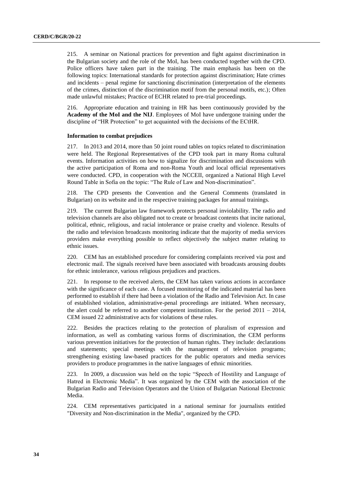215. A seminar on National practices for prevention and fight against discrimination in the Bulgarian society and the role of the MoI, has been conducted together with the CPD. Police officers have taken part in the training. The main emphasis has been on the following topics: International standards for protection against discrimination; Hate crimes and incidents – penal regime for sanctioning discrimination (interpretation of the elements of the crimes, distinction of the discrimination motif from the personal motifs, etc.); Often made unlawful mistakes; Practice of ECHR related to pre-trial proceedings.

216. Appropriate education and training in HR has been continuously provided by the **Academy of the MoI and the NIJ**. Employees of MoI have undergone training under the discipline of "HR Protection" to get acquainted with the decisions of the ECtHR.

#### **Information to combat prejudices**

217. In 2013 and 2014, more than 50 joint round tables on topics related to discrimination were held. The Regional Representatives of the CPD took part in many Roma cultural events. Information activities on how to signalize for discrimination and discussions with the active participation of Roma and non-Roma Youth and local official representatives were conducted. CPD, in cooperation with the NCCEII, organized a National High Level Round Table in Sofia on the topic: "The Rule of Law and Non-discrimination".

218. The CPD presents the Convention and the General Comments (translated in Bulgarian) on its website and in the respective training packages for annual trainings.

219. The current Bulgarian law framework protects personal inviolability. The radio and television channels are also obligated not to create or broadcast contents that incite national, political, ethnic, religious, and racial intolerance or praise cruelty and violence. Results of the radio and television broadcasts monitoring indicate that the majority of media services providers make everything possible to reflect objectively the subject matter relating to ethnic issues.

220. CEM has an established procedure for considering complaints received via post and electronic mail. The signals received have been associated with broadcasts arousing doubts for ethnic intolerance, various religious prejudices and practices.

221. In response to the received alerts, the CEM has taken various actions in accordance with the significance of each case. A focused monitoring of the indicated material has been performed to establish if there had been a violation of the Radio and Television Act. In case of established violation, administrative-penal proceedings are initiated. When necessary, the alert could be referred to another competent institution. For the period 2011 – 2014, CEM issued 22 administrative acts for violations of these rules.

222. Besides the practices relating to the protection of pluralism of expression and information, as well as combating various forms of discrimination, the CEM performs various prevention initiatives for the protection of human rights. They include: declarations and statements; special meetings with the management of television programs; strengthening existing law-based practices for the public operators and media services providers to produce programmes in the native languages of ethnic minorities.

223. In 2009, a discussion was held on the topic "Speech of Hostility and Language of Hatred in Electronic Media". It was organized by the CEM with the association of the Bulgarian Radio and Television Operators and the Union of Bulgarian National Electronic Media.

224. CEM representatives participated in a national seminar for journalists entitled "Diversity and Non-discrimination in the Media", organized by the CPD.